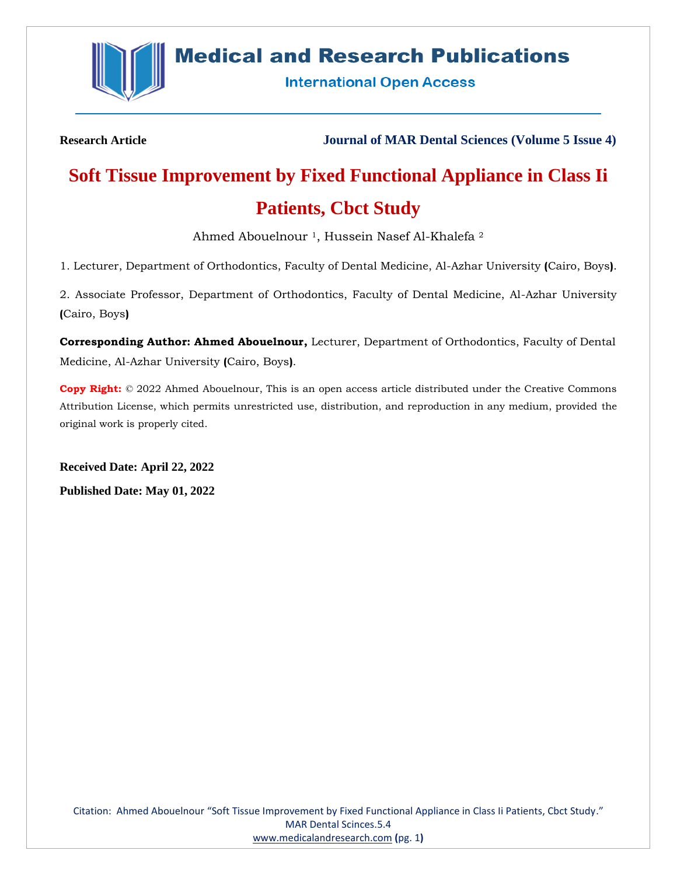

## **Medical and Research Publications**

**International Open Access** 

**Research Article Journal of MAR Dental Sciences (Volume 5 Issue 4)**

# **Soft Tissue Improvement by Fixed Functional Appliance in Class Ii Patients, Cbct Study**

Ahmed Abouelnour<sup>1</sup>, Hussein Nasef Al-Khalefa<sup>2</sup>

1. Lecturer, Department of Orthodontics, Faculty of Dental Medicine, Al-Azhar University **(**Cairo, Boys**)**.

2. Associate Professor, Department of Orthodontics, Faculty of Dental Medicine, Al-Azhar University **(**Cairo, Boys**)**

**Corresponding Author: Ahmed Abouelnour,** Lecturer, Department of Orthodontics, Faculty of Dental Medicine, Al-Azhar University **(**Cairo, Boys**)**.

**Copy Right:** © 2022 Ahmed Abouelnour, This is an open access article distributed under the Creative Commons Attribution License, which permits unrestricted use, distribution, and reproduction in any medium, provided the original work is properly cited.

**Received Date: April 22, 2022 Published Date: May 01, 2022**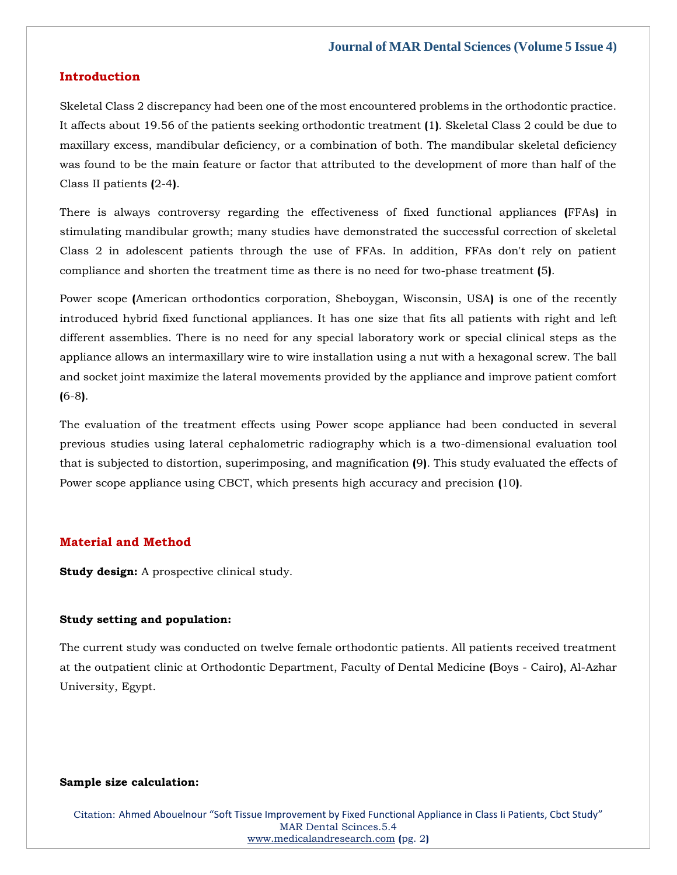### **Introduction**

Skeletal Class 2 discrepancy had been one of the most encountered problems in the orthodontic practice. It affects about 19.56 of the patients seeking orthodontic treatment **(**1**)**. Skeletal Class 2 could be due to maxillary excess, mandibular deficiency, or a combination of both. The mandibular skeletal deficiency was found to be the main feature or factor that attributed to the development of more than half of the Class II patients **(**2-4**)**.

There is always controversy regarding the effectiveness of fixed functional appliances **(**FFAs**)** in stimulating mandibular growth; many studies have demonstrated the successful correction of skeletal Class 2 in adolescent patients through the use of FFAs. In addition, FFAs don't rely on patient compliance and shorten the treatment time as there is no need for two-phase treatment **(**5**)**.

Power scope **(**American orthodontics corporation, Sheboygan, Wisconsin, USA**)** is one of the recently introduced hybrid fixed functional appliances. It has one size that fits all patients with right and left different assemblies. There is no need for any special laboratory work or special clinical steps as the appliance allows an intermaxillary wire to wire installation using a nut with a hexagonal screw. The ball and socket joint maximize the lateral movements provided by the appliance and improve patient comfort **(**6-8**)**.

The evaluation of the treatment effects using Power scope appliance had been conducted in several previous studies using lateral cephalometric radiography which is a two-dimensional evaluation tool that is subjected to distortion, superimposing, and magnification **(**9**)**. This study evaluated the effects of Power scope appliance using CBCT, which presents high accuracy and precision **(**10**)**.

## **Material and Method**

**Study design:** A prospective clinical study.

#### **Study setting and population:**

The current study was conducted on twelve female orthodontic patients. All patients received treatment at the outpatient clinic at Orthodontic Department, Faculty of Dental Medicine **(**Boys - Cairo**)**, Al-Azhar University, Egypt.

#### **Sample size calculation:**

Citation: Ahmed Abouelnour "Soft Tissue Improvement by Fixed Functional Appliance in Class Ii Patients, Cbct Study" MAR Dental Scinces.5.4 [www.medicalandresearch.com](http://www.medicalandresearch.com/) **(**pg. 2**)**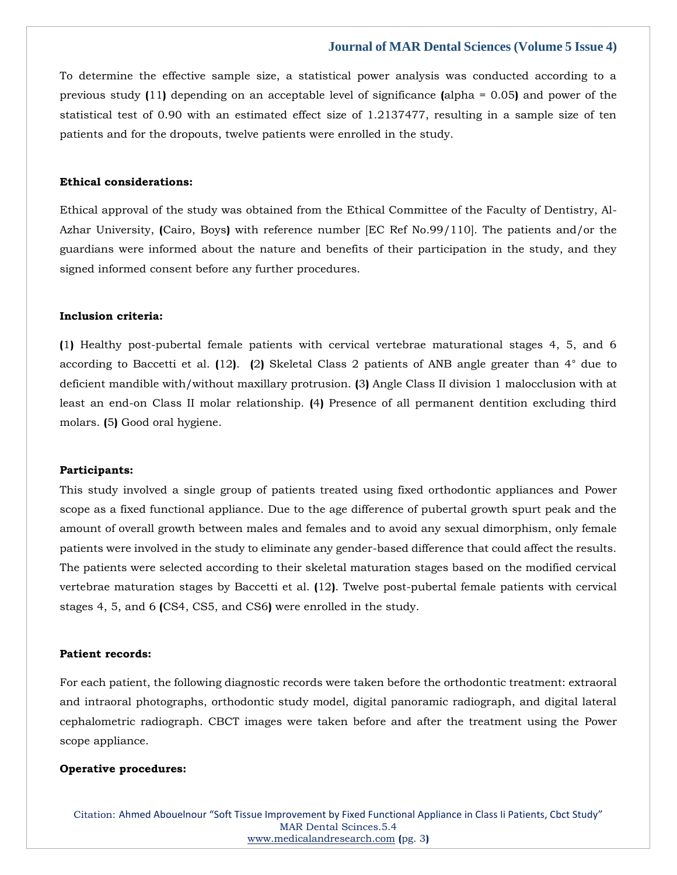To determine the effective sample size, a statistical power analysis was conducted according to a previous study **(**11**)** depending on an acceptable level of significance **(**alpha = 0.05**)** and power of the statistical test of 0.90 with an estimated effect size of 1.2137477, resulting in a sample size of ten patients and for the dropouts, twelve patients were enrolled in the study.

## **Ethical considerations:**

Ethical approval of the study was obtained from the Ethical Committee of the Faculty of Dentistry, Al-Azhar University, **(**Cairo, Boys**)** with reference number [EC Ref No.99/110]. The patients and/or the guardians were informed about the nature and benefits of their participation in the study, and they signed informed consent before any further procedures.

## **Inclusion criteria:**

**(**1**)** Healthy post-pubertal female patients with cervical vertebrae maturational stages 4, 5, and 6 according to Baccetti et al. **(**12**)**. **(**2**)** Skeletal Class 2 patients of ANB angle greater than 4° due to deficient mandible with/without maxillary protrusion. **(**3**)** Angle Class II division 1 malocclusion with at least an end-on Class II molar relationship. **(**4**)** Presence of all permanent dentition excluding third molars. **(**5**)** Good oral hygiene.

#### **Participants:**

This study involved a single group of patients treated using fixed orthodontic appliances and Power scope as a fixed functional appliance. Due to the age difference of pubertal growth spurt peak and the amount of overall growth between males and females and to avoid any sexual dimorphism, only female patients were involved in the study to eliminate any gender-based difference that could affect the results. The patients were selected according to their skeletal maturation stages based on the modified cervical vertebrae maturation stages by Baccetti et al. **(**12**)**. Twelve post-pubertal female patients with cervical stages 4, 5, and 6 **(**CS4, CS5, and CS6**)** were enrolled in the study.

#### **Patient records:**

For each patient, the following diagnostic records were taken before the orthodontic treatment: extraoral and intraoral photographs, orthodontic study model, digital panoramic radiograph, and digital lateral cephalometric radiograph. CBCT images were taken before and after the treatment using the Power scope appliance.

#### **Operative procedures:**

Citation: Ahmed Abouelnour "Soft Tissue Improvement by Fixed Functional Appliance in Class Ii Patients, Cbct Study" MAR Dental Scinces.5.4 [www.medicalandresearch.com](http://www.medicalandresearch.com/) **(**pg. 3**)**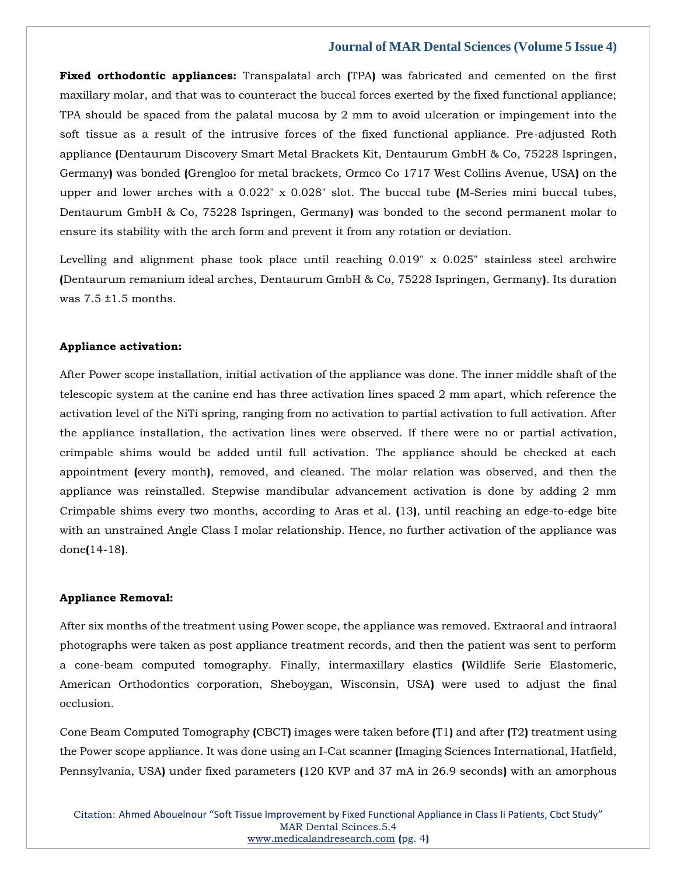**Fixed orthodontic appliances:** Transpalatal arch **(**TPA**)** was fabricated and cemented on the first maxillary molar, and that was to counteract the buccal forces exerted by the fixed functional appliance; TPA should be spaced from the palatal mucosa by 2 mm to avoid ulceration or impingement into the soft tissue as a result of the intrusive forces of the fixed functional appliance. Pre-adjusted Roth appliance **(**Dentaurum Discovery Smart Metal Brackets Kit, Dentaurum GmbH & Co, 75228 Ispringen, Germany**)** was bonded **(**Grengloo for metal brackets, Ormco Co 1717 West Collins Avenue, USA**)** on the upper and lower arches with a 0.022" x 0.028" slot. The buccal tube **(**M-Series mini buccal tubes, Dentaurum GmbH & Co, 75228 Ispringen, Germany**)** was bonded to the second permanent molar to ensure its stability with the arch form and prevent it from any rotation or deviation.

Levelling and alignment phase took place until reaching 0.019" x 0.025" stainless steel archwire **(**Dentaurum remanium ideal arches, Dentaurum GmbH & Co, 75228 Ispringen, Germany**)**. Its duration was  $7.5 \pm 1.5$  months.

#### **Appliance activation:**

After Power scope installation, initial activation of the appliance was done. The inner middle shaft of the telescopic system at the canine end has three activation lines spaced 2 mm apart, which reference the activation level of the NiTi spring, ranging from no activation to partial activation to full activation. After the appliance installation, the activation lines were observed. If there were no or partial activation, crimpable shims would be added until full activation. The appliance should be checked at each appointment **(**every month**)**, removed, and cleaned. The molar relation was observed, and then the appliance was reinstalled. Stepwise mandibular advancement activation is done by adding 2 mm Crimpable shims every two months, according to Aras et al. **(**13**)**, until reaching an edge-to-edge bite with an unstrained Angle Class I molar relationship. Hence, no further activation of the appliance was done**(**14-18**)**.

#### **Appliance Removal:**

After six months of the treatment using Power scope, the appliance was removed. Extraoral and intraoral photographs were taken as post appliance treatment records, and then the patient was sent to perform a cone-beam computed tomography. Finally, intermaxillary elastics **(**Wildlife Serie Elastomeric, American Orthodontics corporation, Sheboygan, Wisconsin, USA**)** were used to adjust the final occlusion.

Cone Beam Computed Tomography **(**CBCT**)** images were taken before **(**T1**)** and after **(**T2**)** treatment using the Power scope appliance. It was done using an I-Cat scanner **(**Imaging Sciences International, Hatfield, Pennsylvania, USA**)** under fixed parameters **(**120 KVP and 37 mA in 26.9 seconds**)** with an amorphous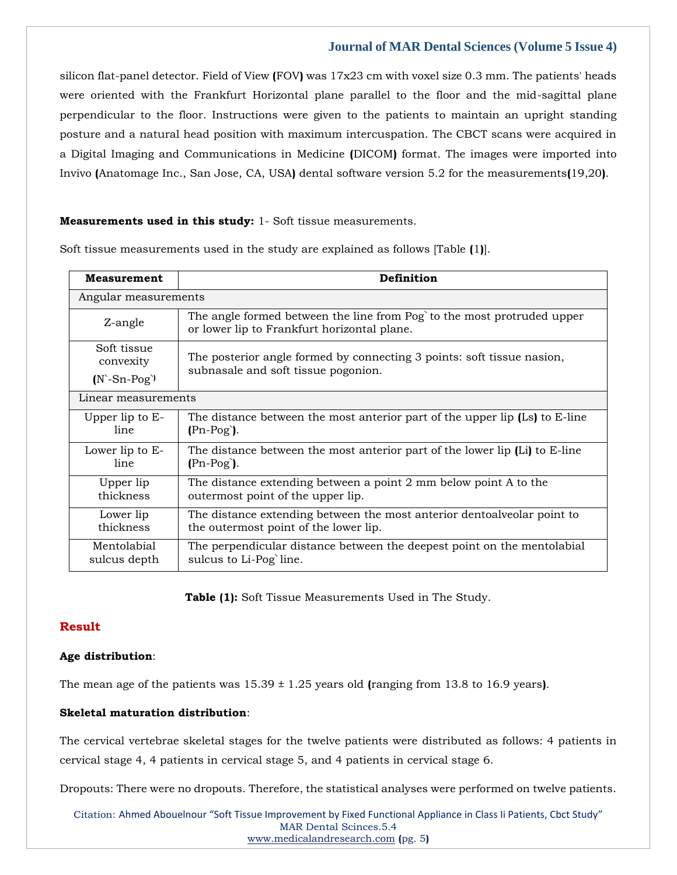silicon flat-panel detector. Field of View **(**FOV**)** was 17x23 cm with voxel size 0.3 mm. The patients' heads were oriented with the Frankfurt Horizontal plane parallel to the floor and the mid-sagittal plane perpendicular to the floor. Instructions were given to the patients to maintain an upright standing posture and a natural head position with maximum intercuspation. The CBCT scans were acquired in a Digital Imaging and Communications in Medicine **(**DICOM**)** format. The images were imported into Invivo **(**Anatomage Inc., San Jose, CA, USA**)** dental software version 5.2 for the measurements**(**19,20**)**.

## **Measurements used in this study:** 1- Soft tissue measurements.

Soft tissue measurements used in the study are explained as follows [Table **(**1**)**].

| <b>Measurement</b>                                 | Definition                                                                                                            |  |  |  |  |  |  |  |
|----------------------------------------------------|-----------------------------------------------------------------------------------------------------------------------|--|--|--|--|--|--|--|
| Angular measurements                               |                                                                                                                       |  |  |  |  |  |  |  |
| Z-angle                                            | The angle formed between the line from Pog to the most protruded upper<br>or lower lip to Frankfurt horizontal plane. |  |  |  |  |  |  |  |
| Soft tissue<br>convexity<br>$(N^{\text{-}}Sn-Pog)$ | The posterior angle formed by connecting 3 points: soft tissue nasion,<br>subnasale and soft tissue pogonion.         |  |  |  |  |  |  |  |
| Linear measurements                                |                                                                                                                       |  |  |  |  |  |  |  |
| Upper lip to E-                                    | The distance between the most anterior part of the upper lip (Ls) to E-line                                           |  |  |  |  |  |  |  |
| line                                               | $(Ph-Pog)$ .                                                                                                          |  |  |  |  |  |  |  |
| Lower lip to E-                                    | The distance between the most anterior part of the lower lip (Li) to E-line                                           |  |  |  |  |  |  |  |
| line                                               | $(Ph-Pog)$ .                                                                                                          |  |  |  |  |  |  |  |
| Upper lip                                          | The distance extending between a point 2 mm below point A to the                                                      |  |  |  |  |  |  |  |
| thickness                                          | outermost point of the upper lip.                                                                                     |  |  |  |  |  |  |  |
| Lower lip                                          | The distance extending between the most anterior dentoalveolar point to                                               |  |  |  |  |  |  |  |
| thickness                                          | the outermost point of the lower lip.                                                                                 |  |  |  |  |  |  |  |
| Mentolabial                                        | The perpendicular distance between the deepest point on the mentolabial                                               |  |  |  |  |  |  |  |
| sulcus depth                                       | sulcus to Li-Pog`line.                                                                                                |  |  |  |  |  |  |  |

**Table (1):** Soft Tissue Measurements Used in The Study.

## **Result**

#### **Age distribution**:

The mean age of the patients was 15.39 ± 1.25 years old **(**ranging from 13.8 to 16.9 years**)**.

## **Skeletal maturation distribution**:

The cervical vertebrae skeletal stages for the twelve patients were distributed as follows: 4 patients in cervical stage 4, 4 patients in cervical stage 5, and 4 patients in cervical stage 6.

Dropouts: There were no dropouts. Therefore, the statistical analyses were performed on twelve patients.

Citation: Ahmed Abouelnour "Soft Tissue Improvement by Fixed Functional Appliance in Class Ii Patients, Cbct Study" MAR Dental Scinces.5.4 [www.medicalandresearch.com](http://www.medicalandresearch.com/) **(**pg. 5**)**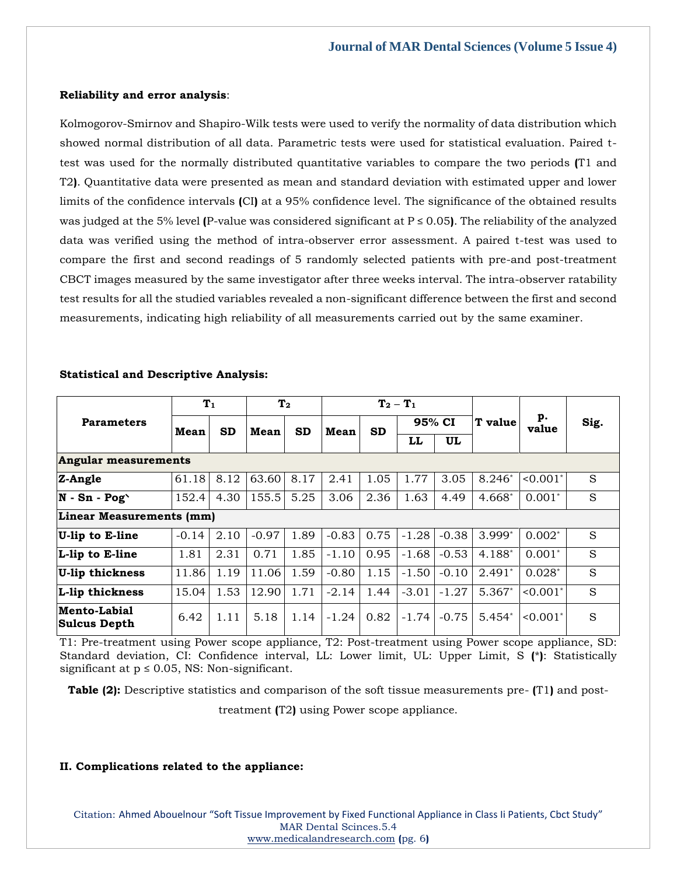#### **Reliability and error analysis**:

Kolmogorov-Smirnov and Shapiro-Wilk tests were used to verify the normality of data distribution which showed normal distribution of all data. Parametric tests were used for statistical evaluation. Paired ttest was used for the normally distributed quantitative variables to compare the two periods **(**T1 and T2**)**. Quantitative data were presented as mean and standard deviation with estimated upper and lower limits of the confidence intervals **(**CI**)** at a 95% confidence level. The significance of the obtained results was judged at the 5% level **(**P-value was considered significant at P ≤ 0.05**)**. The reliability of the analyzed data was verified using the method of intra-observer error assessment. A paired t-test was used to compare the first and second readings of 5 randomly selected patients with pre-and post-treatment CBCT images measured by the same investigator after three weeks interval. The intra-observer ratability test results for all the studied variables revealed a non-significant difference between the first and second measurements, indicating high reliability of all measurements carried out by the same examiner.

| <b>Parameters</b>               | T <sub>1</sub> |           | T <sub>2</sub> |           | $T_2 - T_1$ |           |         |         |                |                           |      |  |  |
|---------------------------------|----------------|-----------|----------------|-----------|-------------|-----------|---------|---------|----------------|---------------------------|------|--|--|
|                                 | Mean           | <b>SD</b> | Mean           | <b>SD</b> | Mean        | <b>SD</b> | 95% CI  |         | <b>T</b> value | p.<br>value               | Sig. |  |  |
|                                 |                |           |                |           |             |           | LL      | UL      |                |                           |      |  |  |
| <b>Angular measurements</b>     |                |           |                |           |             |           |         |         |                |                           |      |  |  |
| Z-Angle                         | 61.18          | 8.12      | 63.60          | 8.17      | 2.41        | 1.05      | 1.77    | 3.05    | $8.246*$       | $< 0.001$ *               | S    |  |  |
| $N - Sn - Pog'$                 | 152.4          | 4.30      | 155.5          | 5.25      | 3.06        | 2.36      | 1.63    | 4.49    | $4.668*$       | $0.001*$                  | S    |  |  |
| <b>Linear Measurements (mm)</b> |                |           |                |           |             |           |         |         |                |                           |      |  |  |
| U-lip to E-line                 | $-0.14$        | 2.10      | $-0.97$        | 1.89      | $-0.83$     | 0.75      | $-1.28$ | $-0.38$ | $3.999*$       | $0.002*$                  | S    |  |  |
| L-lip to E-line                 | 1.81           | 2.31      | 0.71           | 1.85      | $-1.10$     | 0.95      | $-1.68$ | $-0.53$ | 4.188*         | $0.001*$                  | S    |  |  |
| <b>U-lip thickness</b>          | 11.86          | 1.19      | 11.06          | 1.59      | $-0.80$     | 1.15      | $-1.50$ | $-0.10$ | $2.491*$       | $0.028*$                  | S    |  |  |
| L-lip thickness                 | 15.04          | 1.53      | 12.90          | 1.71      | $-2.14$     | 1.44      | $-3.01$ | $-1.27$ | 5.367*         | $< 0.001$ <sup>*</sup>    | S    |  |  |
| Mento-Labial<br> Sulcus Depth   | 6.42           | 1.11      | 5.18           | 1.14      | $-1.24$     | 0.82      | $-1.74$ | $-0.75$ | $5.454*$       | $\leq 0.001$ <sup>*</sup> | S    |  |  |

#### **Statistical and Descriptive Analysis:**

T1: Pre-treatment using Power scope appliance, T2: Post-treatment using Power scope appliance, SD: Standard deviation, CI: Confidence interval, LL: Lower limit, UL: Upper Limit, S **(**\***)**: Statistically significant at  $p \le 0.05$ , NS: Non-significant.

**Table (2):** Descriptive statistics and comparison of the soft tissue measurements pre- **(**T1**)** and post-

treatment **(**T2**)** using Power scope appliance.

## **II. Complications related to the appliance:**

Citation: Ahmed Abouelnour "Soft Tissue Improvement by Fixed Functional Appliance in Class Ii Patients, Cbct Study" MAR Dental Scinces.5.4 [www.medicalandresearch.com](http://www.medicalandresearch.com/) **(**pg. 6**)**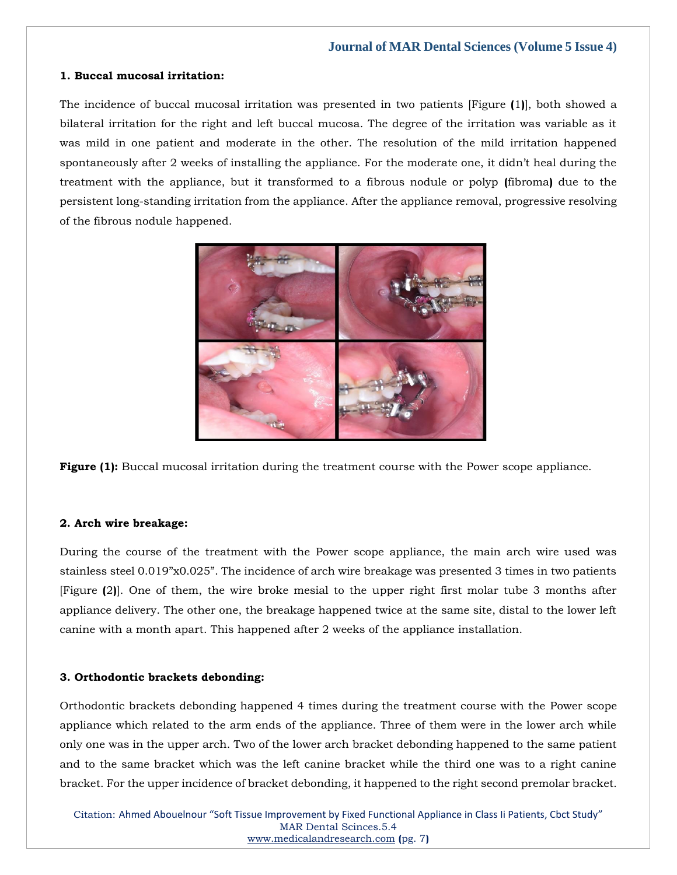#### **1. Buccal mucosal irritation:**

The incidence of buccal mucosal irritation was presented in two patients [Figure **(**1**)**], both showed a bilateral irritation for the right and left buccal mucosa. The degree of the irritation was variable as it was mild in one patient and moderate in the other. The resolution of the mild irritation happened spontaneously after 2 weeks of installing the appliance. For the moderate one, it didn't heal during the treatment with the appliance, but it transformed to a fibrous nodule or polyp **(**fibroma**)** due to the persistent long-standing irritation from the appliance. After the appliance removal, progressive resolving of the fibrous nodule happened.



**Figure (1):** Buccal mucosal irritation during the treatment course with the Power scope appliance.

## **2. Arch wire breakage:**

During the course of the treatment with the Power scope appliance, the main arch wire used was stainless steel 0.019"x0.025". The incidence of arch wire breakage was presented 3 times in two patients [Figure **(**2**)**]. One of them, the wire broke mesial to the upper right first molar tube 3 months after appliance delivery. The other one, the breakage happened twice at the same site, distal to the lower left canine with a month apart. This happened after 2 weeks of the appliance installation.

## **3. Orthodontic brackets debonding:**

Orthodontic brackets debonding happened 4 times during the treatment course with the Power scope appliance which related to the arm ends of the appliance. Three of them were in the lower arch while only one was in the upper arch. Two of the lower arch bracket debonding happened to the same patient and to the same bracket which was the left canine bracket while the third one was to a right canine bracket. For the upper incidence of bracket debonding, it happened to the right second premolar bracket.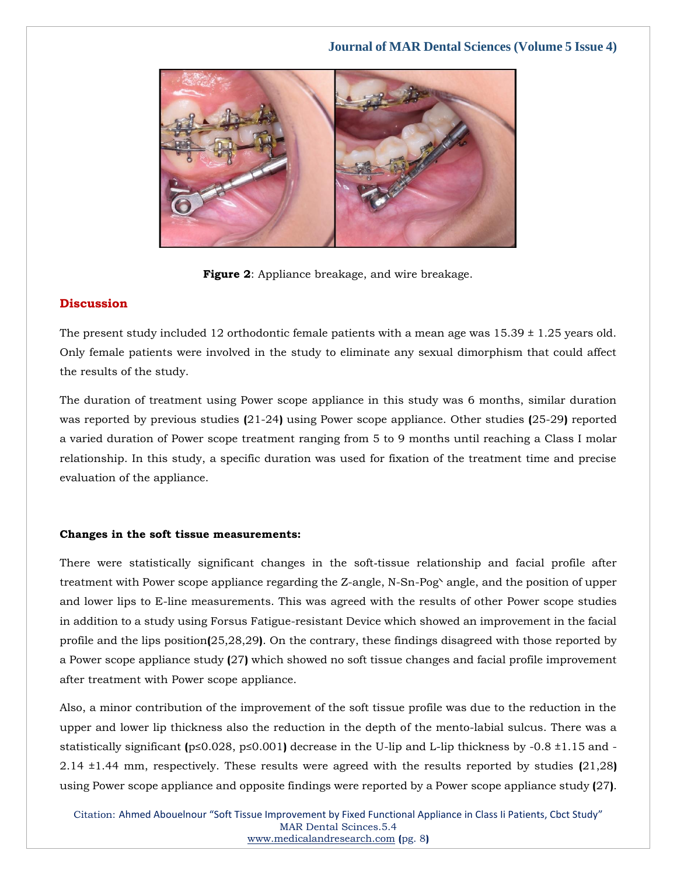

**Figure 2**: Appliance breakage, and wire breakage.

## **Discussion**

The present study included 12 orthodontic female patients with a mean age was  $15.39 \pm 1.25$  years old. Only female patients were involved in the study to eliminate any sexual dimorphism that could affect the results of the study.

The duration of treatment using Power scope appliance in this study was 6 months, similar duration was reported by previous studies **(**21-24**)** using Power scope appliance. Other studies **(**25-29**)** reported a varied duration of Power scope treatment ranging from 5 to 9 months until reaching a Class I molar relationship. In this study, a specific duration was used for fixation of the treatment time and precise evaluation of the appliance.

## **Changes in the soft tissue measurements:**

There were statistically significant changes in the soft-tissue relationship and facial profile after treatment with Power scope appliance regarding the Z-angle, N-Sn-Pog\ angle, and the position of upper and lower lips to E-line measurements. This was agreed with the results of other Power scope studies in addition to a study using Forsus Fatigue-resistant Device which showed an improvement in the facial profile and the lips position**(**25,28,29**)**. On the contrary, these findings disagreed with those reported by a Power scope appliance study **(**27**)** which showed no soft tissue changes and facial profile improvement after treatment with Power scope appliance.

Also, a minor contribution of the improvement of the soft tissue profile was due to the reduction in the upper and lower lip thickness also the reduction in the depth of the mento-labial sulcus. There was a statistically significant **(**p≤0.028, p≤0.001**)** decrease in the U-lip and L-lip thickness by -0.8 ±1.15 and - 2.14 ±1.44 mm, respectively. These results were agreed with the results reported by studies **(**21,28**)** using Power scope appliance and opposite findings were reported by a Power scope appliance study **(**27**)**.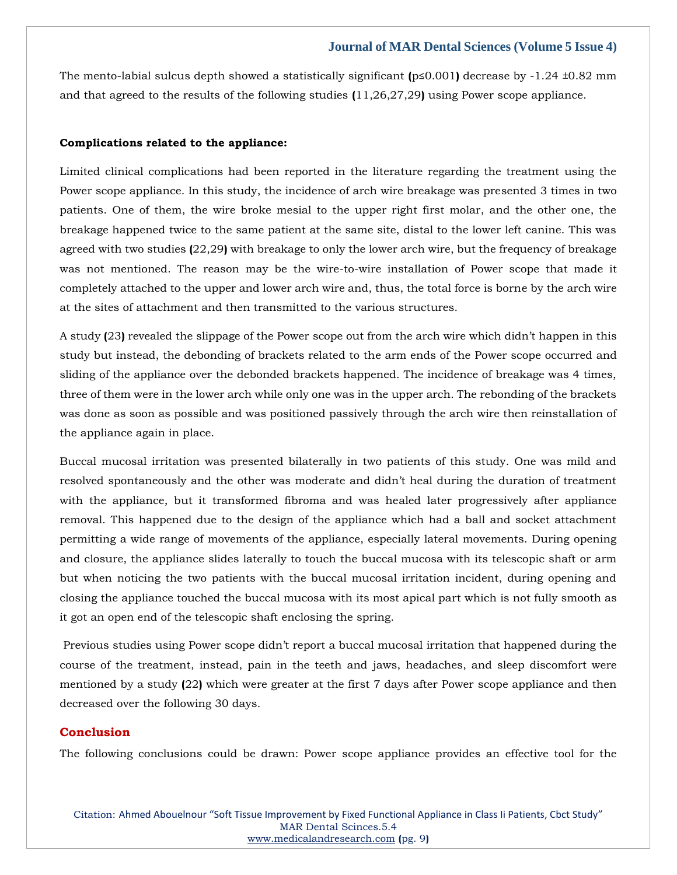The mento-labial sulcus depth showed a statistically significant **(**p≤0.001**)** decrease by -1.24 ±0.82 mm and that agreed to the results of the following studies **(**11,26,27,29**)** using Power scope appliance.

#### **Complications related to the appliance:**

Limited clinical complications had been reported in the literature regarding the treatment using the Power scope appliance. In this study, the incidence of arch wire breakage was presented 3 times in two patients. One of them, the wire broke mesial to the upper right first molar, and the other one, the breakage happened twice to the same patient at the same site, distal to the lower left canine. This was agreed with two studies **(**22,29**)** with breakage to only the lower arch wire, but the frequency of breakage was not mentioned. The reason may be the wire-to-wire installation of Power scope that made it completely attached to the upper and lower arch wire and, thus, the total force is borne by the arch wire at the sites of attachment and then transmitted to the various structures.

A study **(**23**)** revealed the slippage of the Power scope out from the arch wire which didn't happen in this study but instead, the debonding of brackets related to the arm ends of the Power scope occurred and sliding of the appliance over the debonded brackets happened. The incidence of breakage was 4 times, three of them were in the lower arch while only one was in the upper arch. The rebonding of the brackets was done as soon as possible and was positioned passively through the arch wire then reinstallation of the appliance again in place.

Buccal mucosal irritation was presented bilaterally in two patients of this study. One was mild and resolved spontaneously and the other was moderate and didn't heal during the duration of treatment with the appliance, but it transformed fibroma and was healed later progressively after appliance removal. This happened due to the design of the appliance which had a ball and socket attachment permitting a wide range of movements of the appliance, especially lateral movements. During opening and closure, the appliance slides laterally to touch the buccal mucosa with its telescopic shaft or arm but when noticing the two patients with the buccal mucosal irritation incident, during opening and closing the appliance touched the buccal mucosa with its most apical part which is not fully smooth as it got an open end of the telescopic shaft enclosing the spring.

Previous studies using Power scope didn't report a buccal mucosal irritation that happened during the course of the treatment, instead, pain in the teeth and jaws, headaches, and sleep discomfort were mentioned by a study **(**22**)** which were greater at the first 7 days after Power scope appliance and then decreased over the following 30 days.

## **Conclusion**

The following conclusions could be drawn: Power scope appliance provides an effective tool for the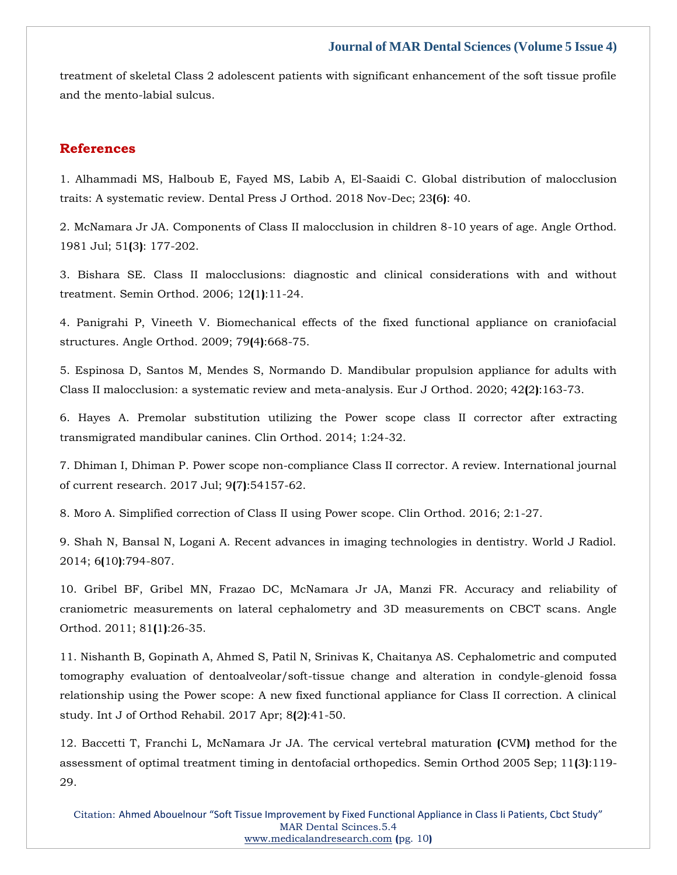treatment of skeletal Class 2 adolescent patients with significant enhancement of the soft tissue profile and the mento-labial sulcus.

## **References**

[1. Alhammadi MS, Halboub E, Fayed MS, Labib A, El-Saaidi C. Global distribution of malocclusion](https://www.google.com/search?q=Global+distribution+of+malocclusion+traits%3A+A+systematic+review.&oq=Global+distribution+of+malocclusion+traits%3A+A+systematic+review.&aqs=chrome..69i57.447j0j7&sourceid=chrome&ie=UTF-8)  [traits: A systematic review. Dental Press J Orthod. 2018 Nov-Dec; 23](https://www.google.com/search?q=Global+distribution+of+malocclusion+traits%3A+A+systematic+review.&oq=Global+distribution+of+malocclusion+traits%3A+A+systematic+review.&aqs=chrome..69i57.447j0j7&sourceid=chrome&ie=UTF-8)**(**6**)**: 40.

[2. McNamara Jr JA. Components of Class II malocclusion in children 8-10 years of age. Angle Orthod.](https://www.google.com/search?q=Components+of+Class+II+malocclusion+in+children+8-10+years+of+age&sxsrf=APq-WBt2kCEGtgdkyFf9nsoPxqOnj12_Kw%3A1650877040033&ei=cGJmYqayAbzYz7sP8pO6uAY&ved=0ahUKEwimqqec7K73AhU87HMBHfKJDmcQ4dUDCA4&oq=Components+of+Class+II+malocclusion+in+children+8-10+years+of+age&gs_lcp=Cgdnd3Mtd2l6EAw6BwgjEOoCECdKBAhBGABKBAhGGABQJFgkYOgEaAFwAXgAgAFkiAFkkgEDMC4xmAEAoAEBoAECsAEKwAEB&sclient=gws-wiz)  [1981 Jul; 51](https://www.google.com/search?q=Components+of+Class+II+malocclusion+in+children+8-10+years+of+age&sxsrf=APq-WBt2kCEGtgdkyFf9nsoPxqOnj12_Kw%3A1650877040033&ei=cGJmYqayAbzYz7sP8pO6uAY&ved=0ahUKEwimqqec7K73AhU87HMBHfKJDmcQ4dUDCA4&oq=Components+of+Class+II+malocclusion+in+children+8-10+years+of+age&gs_lcp=Cgdnd3Mtd2l6EAw6BwgjEOoCECdKBAhBGABKBAhGGABQJFgkYOgEaAFwAXgAgAFkiAFkkgEDMC4xmAEAoAEBoAECsAEKwAEB&sclient=gws-wiz)**(**3**)**: 177-202.

3. Bishara SE. Class II malocclusions: [diagnostic and clinical considerations with and without](https://www.google.com/search?q=Class+II+malocclusions%3A+diagnostic+and+clinical+considerations+with+and+without+treatment.+&sxsrf=APq-WBvMtRepJyLtjZqRkKP67UBjYKB-6Q%3A1650877054109&ei=fmJmYru0BqWYmge4wI6YDA&ved=0ahUKEwi764Kj7K73AhUljOYKHTigA8MQ4dUDCA4&oq=Class+II+malocclusions%3A+diagnostic+and+clinical+considerations+with+and+without+treatment.+&gs_lcp=Cgdnd3Mtd2l6EAwyBwgjEOoCECcyBwgjEOoCECcyBwgjEOoCECcyBwgjEOoCECcyBwgjEOoCECcyBwgjEOoCECcyBwgjEOoCECcyBwgjEOoCECcyBwgjEOoCECcyBwgjEOoCECdKBAhBGAFKBAhGGABQoghYoghgoAxoAnAAeACAAQCIAQCSAQCYAQCgAQGgAQKwAQrAAQE&sclient=gws-wiz)  [treatment. Semin Orthod. 2006; 12](https://www.google.com/search?q=Class+II+malocclusions%3A+diagnostic+and+clinical+considerations+with+and+without+treatment.+&sxsrf=APq-WBvMtRepJyLtjZqRkKP67UBjYKB-6Q%3A1650877054109&ei=fmJmYru0BqWYmge4wI6YDA&ved=0ahUKEwi764Kj7K73AhUljOYKHTigA8MQ4dUDCA4&oq=Class+II+malocclusions%3A+diagnostic+and+clinical+considerations+with+and+without+treatment.+&gs_lcp=Cgdnd3Mtd2l6EAwyBwgjEOoCECcyBwgjEOoCECcyBwgjEOoCECcyBwgjEOoCECcyBwgjEOoCECcyBwgjEOoCECcyBwgjEOoCECcyBwgjEOoCECcyBwgjEOoCECcyBwgjEOoCECdKBAhBGAFKBAhGGABQoghYoghgoAxoAnAAeACAAQCIAQCSAQCYAQCgAQGgAQKwAQrAAQE&sclient=gws-wiz)**(**1**)**:11-24.

[4. Panigrahi P, Vineeth V. Biomechanical effects of the fixed functional appliance on craniofacial](https://www.google.com/search?q=Biomechanical+effects+of+the+fixed+functional+appliance+on+craniofacial+structures&sxsrf=APq-WBuiYz1XlyDWelX8o5PkSVONNWihIw%3A1650877134823&ei=zmJmYpLsMbK0mge624ugAg&ved=0ahUKEwiSi8HJ7K73AhUymuYKHbrtAiQQ4dUDCA4&oq=Biomechanical+effects+of+the+fixed+functional+appliance+on+craniofacial+structures&gs_lcp=Cgdnd3Mtd2l6EAw6BwgjEOoCECdKBAhBGABKBAhGGABQ5QJY5QJgzwVoAXABeACAAXSIAXSSAQMwLjGYAQCgAQGgAQKwAQrAAQE&sclient=gws-wiz)  [structures. Angle Orthod. 2009; 79](https://www.google.com/search?q=Biomechanical+effects+of+the+fixed+functional+appliance+on+craniofacial+structures&sxsrf=APq-WBuiYz1XlyDWelX8o5PkSVONNWihIw%3A1650877134823&ei=zmJmYpLsMbK0mge624ugAg&ved=0ahUKEwiSi8HJ7K73AhUymuYKHbrtAiQQ4dUDCA4&oq=Biomechanical+effects+of+the+fixed+functional+appliance+on+craniofacial+structures&gs_lcp=Cgdnd3Mtd2l6EAw6BwgjEOoCECdKBAhBGABKBAhGGABQ5QJY5QJgzwVoAXABeACAAXSIAXSSAQMwLjGYAQCgAQGgAQKwAQrAAQE&sclient=gws-wiz)**(**4**)**:668-75.

[5. Espinosa D, Santos M, Mendes S, Normando D. Mandibular propulsion appliance for adults with](https://www.google.com/search?q=Mandibular+propulsion+appliance+for+adults+with+Class+II+malocclusion%3A+a+systematic+review+and+meta-analysis.&sxsrf=APq-WBtfZNYdE3s06fzF4Y3xzni334BGfw%3A1650877146059&ei=2mJmYre7AsbWz7sP3MK98Aw&ved=0ahUKEwi3kO7O7K73AhVG63MBHVxhD84Q4dUDCA4&oq=Mandibular+propulsion+appliance+for+adults+with+Class+II+malocclusion%3A+a+systematic+review+and+meta-analysis.&gs_lcp=Cgdnd3Mtd2l6EAwyBwgjEOoCECcyBwgjEOoCECcyBwgjEOoCECcyBwgjEOoCECcyBwgjEOoCECcyBwgjEOoCECcyBwgjEOoCECcyBwgjEOoCECcyBwgjEOoCECcyBwgjEOoCECdKBAhBGABKBAhGGABQ_ANY_ANg1gdoAXAAeACAAQCIAQCSAQCYAQCgAQGgAQKwAQrAAQE&sclient=gws-wiz)  [Class II malocclusion: a systematic review and meta-analysis. Eur J Orthod. 2020; 42](https://www.google.com/search?q=Mandibular+propulsion+appliance+for+adults+with+Class+II+malocclusion%3A+a+systematic+review+and+meta-analysis.&sxsrf=APq-WBtfZNYdE3s06fzF4Y3xzni334BGfw%3A1650877146059&ei=2mJmYre7AsbWz7sP3MK98Aw&ved=0ahUKEwi3kO7O7K73AhVG63MBHVxhD84Q4dUDCA4&oq=Mandibular+propulsion+appliance+for+adults+with+Class+II+malocclusion%3A+a+systematic+review+and+meta-analysis.&gs_lcp=Cgdnd3Mtd2l6EAwyBwgjEOoCECcyBwgjEOoCECcyBwgjEOoCECcyBwgjEOoCECcyBwgjEOoCECcyBwgjEOoCECcyBwgjEOoCECcyBwgjEOoCECcyBwgjEOoCECcyBwgjEOoCECdKBAhBGABKBAhGGABQ_ANY_ANg1gdoAXAAeACAAQCIAQCSAQCYAQCgAQGgAQKwAQrAAQE&sclient=gws-wiz)**(**2**)**:163-73.

[6. Hayes A. Premolar substitution utilizing the Power scope](https://www.google.com/search?q=Premolar+substitution+utilizing+the+PowerScope+class+II+corrector+after+extracting+transmigrated+mandibular+canines&sxsrf=APq-WBuMhKFkZjvKVVerK1lwtGfS5eh-DA%3A1650877164038&ei=7GJmYvP3AeDC3LUP34Wh-AY&ved=0ahUKEwjznbjX7K73AhVgIbcAHd9CCG8Q4dUDCA4&oq=Premolar+substitution+utilizing+the+PowerScope+class+II+corrector+after+extracting+transmigrated+mandibular+canines&gs_lcp=Cgdnd3Mtd2l6EAwyBwgjEOoCECcyBwgjEOoCECcyBwgjEOoCECcyBwgjEOoCECcyBwgjEOoCECcyBwgjEOoCECcyBwgjEOoCECcyBwgjEOoCECcyBwgjEOoCECcyBwgjEOoCECdKBAhBGABKBAhGGABQswNYswNgpAdoAXABeACAAQCIAQCSAQCYAQCgAQGgAQKwAQrAAQE&sclient=gws-wiz) class II corrector after extracting [transmigrated mandibular canines. Clin Orthod. 2014; 1:24-32.](https://www.google.com/search?q=Premolar+substitution+utilizing+the+PowerScope+class+II+corrector+after+extracting+transmigrated+mandibular+canines&sxsrf=APq-WBuMhKFkZjvKVVerK1lwtGfS5eh-DA%3A1650877164038&ei=7GJmYvP3AeDC3LUP34Wh-AY&ved=0ahUKEwjznbjX7K73AhVgIbcAHd9CCG8Q4dUDCA4&oq=Premolar+substitution+utilizing+the+PowerScope+class+II+corrector+after+extracting+transmigrated+mandibular+canines&gs_lcp=Cgdnd3Mtd2l6EAwyBwgjEOoCECcyBwgjEOoCECcyBwgjEOoCECcyBwgjEOoCECcyBwgjEOoCECcyBwgjEOoCECcyBwgjEOoCECcyBwgjEOoCECcyBwgjEOoCECcyBwgjEOoCECdKBAhBGABKBAhGGABQswNYswNgpAdoAXABeACAAQCIAQCSAQCYAQCgAQGgAQKwAQrAAQE&sclient=gws-wiz)

7. Dhiman I, Dhiman P. Power scope [non-compliance Class II corrector. A review. International journal](https://www.google.com/search?q=Powerscope+non-compliance+Class+II+corrector.+A+review.+&sxsrf=APq-WBvEFlDpiGzG7heWSg2-ZCP7Zq0GbQ%3A1650877178473&ei=-mJmYpPGHIPaz7sPxfGSmAU&ved=0ahUKEwiTq6ne7K73AhUD7XMBHcW4BFMQ4dUDCA4&oq=Powerscope+non-compliance+Class+II+corrector.+A+review.+&gs_lcp=Cgdnd3Mtd2l6EAw6BwgjEOoCECdKBAhBGABKBAhGGABQiAJYiAJgyw9oAXABeACAAfYBiAH2AZIBAzItMZgBAKABAaABArABCsABAQ&sclient=gws-wiz)  [of current research. 2017 Jul; 9](https://www.google.com/search?q=Powerscope+non-compliance+Class+II+corrector.+A+review.+&sxsrf=APq-WBvEFlDpiGzG7heWSg2-ZCP7Zq0GbQ%3A1650877178473&ei=-mJmYpPGHIPaz7sPxfGSmAU&ved=0ahUKEwiTq6ne7K73AhUD7XMBHcW4BFMQ4dUDCA4&oq=Powerscope+non-compliance+Class+II+corrector.+A+review.+&gs_lcp=Cgdnd3Mtd2l6EAw6BwgjEOoCECdKBAhBGABKBAhGGABQiAJYiAJgyw9oAXABeACAAfYBiAH2AZIBAzItMZgBAKABAaABArABCsABAQ&sclient=gws-wiz)**(**7**)**:54157-62.

[8. Moro A. Simplified correction of Class II using Power scope. Clin Orthod. 2016; 2:1-27.](https://www.google.com/search?q=Simplified+correction+of+Class+II+using+PowerScope&sxsrf=APq-WBvEx4rmW4ODP-o53At65eyb1hwIAw%3A1650877194006&ei=CWNmYqf8PO_Uz7sPtvu30AI&ved=0ahUKEwjnpN3l7K73AhVv6nMBHbb9DSoQ4dUDCA4&oq=Simplified+correction+of+Class+II+using+PowerScope&gs_lcp=Cgdnd3Mtd2l6EAw6BwgjEOoCECdKBAhBGABKBAhGGABQ3ARY3ARg9wloAXABeACAAcgDiAHIA5IBAzQtMZgBAKABAaABArABCsABAQ&sclient=gws-wiz)

[9. Shah N, Bansal N, Logani A. Recent advances in imaging technologies in dentistry. World J Radiol.](https://www.google.com/search?q=Recent+advances+in+imaging+technologies+in+dentistry&sxsrf=APq-WBvPWQWer7Qob5SH-oKOh9telj2I7A%3A1650877206549&ei=FmNmYo6OIenfz7sPsu6mkAs&ved=0ahUKEwiO8drr7K73AhXp73MBHTK3CbIQ4dUDCA4&oq=Recent+advances+in+imaging+technologies+in+dentistry&gs_lcp=Cgdnd3Mtd2l6EAwyBQgAEIAEMgYIABAWEB46BwgjEOoCECdKBAhBGABKBAhGGABQ9whY9whghRJoAXABeACAAWyIAWySAQMwLjGYAQCgAQGgAQKwAQrAAQE&sclient=gws-wiz)  2014; 6**(**10**)**[:794-807.](https://www.google.com/search?q=Recent+advances+in+imaging+technologies+in+dentistry&sxsrf=APq-WBvPWQWer7Qob5SH-oKOh9telj2I7A%3A1650877206549&ei=FmNmYo6OIenfz7sPsu6mkAs&ved=0ahUKEwiO8drr7K73AhXp73MBHTK3CbIQ4dUDCA4&oq=Recent+advances+in+imaging+technologies+in+dentistry&gs_lcp=Cgdnd3Mtd2l6EAwyBQgAEIAEMgYIABAWEB46BwgjEOoCECdKBAhBGABKBAhGGABQ9whY9whghRJoAXABeACAAWyIAWySAQMwLjGYAQCgAQGgAQKwAQrAAQE&sclient=gws-wiz)

[10. Gribel BF, Gribel MN, Frazao DC, McNamara Jr JA, Manzi FR. Accuracy and reliability of](https://www.google.com/search?q=Accuracy+and+reliability+of+craniometric+measurements+on+lateral+cephalometry+and+3D+measurements+on+CBCT+scans&sxsrf=APq-WBt6LlZa3zyuchSslr19JL6t1wZ4iA%3A1650877238646&ei=NmNmYur-JtXDz7sP2pG5-AE&ved=0ahUKEwjq8YH77K73AhXV4XMBHdpIDh8Q4dUDCA4&oq=Accuracy+and+reliability+of+craniometric+measurements+on+lateral+cephalometry+and+3D+measurements+on+CBCT+scans&gs_lcp=Cgdnd3Mtd2l6EAwyBwgjEOoCECcyBwgjEOoCECcyBwgjEOoCECcyBwgjEOoCECcyBwgjEOoCECcyBwgjEOoCECcyBwgjEOoCECcyBwgjEOoCECcyBwgjEOoCECcyBwgjEOoCECdKBAhBGABKBAhGGABQugNYugNgswdoAXABeACAAQCIAQCSAQCYAQCgAQGgAQKwAQrAAQE&sclient=gws-wiz)  [craniometric measurements on lateral cephalometry and 3D measurements on CBCT scans. Angle](https://www.google.com/search?q=Accuracy+and+reliability+of+craniometric+measurements+on+lateral+cephalometry+and+3D+measurements+on+CBCT+scans&sxsrf=APq-WBt6LlZa3zyuchSslr19JL6t1wZ4iA%3A1650877238646&ei=NmNmYur-JtXDz7sP2pG5-AE&ved=0ahUKEwjq8YH77K73AhXV4XMBHdpIDh8Q4dUDCA4&oq=Accuracy+and+reliability+of+craniometric+measurements+on+lateral+cephalometry+and+3D+measurements+on+CBCT+scans&gs_lcp=Cgdnd3Mtd2l6EAwyBwgjEOoCECcyBwgjEOoCECcyBwgjEOoCECcyBwgjEOoCECcyBwgjEOoCECcyBwgjEOoCECcyBwgjEOoCECcyBwgjEOoCECcyBwgjEOoCECcyBwgjEOoCECdKBAhBGABKBAhGGABQugNYugNgswdoAXABeACAAQCIAQCSAQCYAQCgAQGgAQKwAQrAAQE&sclient=gws-wiz)  [Orthod. 2011; 81](https://www.google.com/search?q=Accuracy+and+reliability+of+craniometric+measurements+on+lateral+cephalometry+and+3D+measurements+on+CBCT+scans&sxsrf=APq-WBt6LlZa3zyuchSslr19JL6t1wZ4iA%3A1650877238646&ei=NmNmYur-JtXDz7sP2pG5-AE&ved=0ahUKEwjq8YH77K73AhXV4XMBHdpIDh8Q4dUDCA4&oq=Accuracy+and+reliability+of+craniometric+measurements+on+lateral+cephalometry+and+3D+measurements+on+CBCT+scans&gs_lcp=Cgdnd3Mtd2l6EAwyBwgjEOoCECcyBwgjEOoCECcyBwgjEOoCECcyBwgjEOoCECcyBwgjEOoCECcyBwgjEOoCECcyBwgjEOoCECcyBwgjEOoCECcyBwgjEOoCECcyBwgjEOoCECdKBAhBGABKBAhGGABQugNYugNgswdoAXABeACAAQCIAQCSAQCYAQCgAQGgAQKwAQrAAQE&sclient=gws-wiz)**(**1**)**:26-35.

[11. Nishanth B, Gopinath A, Ahmed S, Patil N, Srinivas K, Chaitanya AS. Cephalometric and computed](https://www.google.com/search?q=Cephalometric+and+computed+tomography+evaluation+of+dentoalveolar%2Fsoft-tissue+change+and+alteration+in+condyle-glenoid+fossa+relationship+using+the+Powerscope%3A+A+new+fixed+functional+appliance+for+Class+II+correction&sxsrf=APq-WBv5DAG2Jvgd3ovoaHtpvZRmCfKh2A%3A1650877251678&ei=Q2NmYtDXKPvCz7sPhv6wwAw&ved=0ahUKEwiQhZ2B7a73AhV74XMBHQY_DMgQ4dUDCA4&oq=Cephalometric+and+computed+tomography+evaluation+of+dentoalveolar%2Fsoft-tissue+change+and+alteration+in+condyle-glenoid+fossa+relationship+using+the+Powerscope%3A+A+new+fixed+functional+appliance+for+Class+II+correction&gs_lcp=Cgdnd3Mtd2l6EAwyBwgjEOoCECcyBwgjEOoCECcyBwgjEOoCECcyBwgjEOoCECcyBwgjEOoCECcyBwgjEOoCECcyBwgjEOoCECcyBwgjEOoCECcyBwgjEOoCECcyBwgjEOoCECdKBAhBGABKBAhGGABQ6ANY6ANgqghoAXABeACAAQCIAQCSAQCYAQCgAQGgAQKwAQrAAQE&sclient=gws-wiz)  [tomography evaluation of dentoalveolar/soft-tissue change and alteration in condyle-glenoid fossa](https://www.google.com/search?q=Cephalometric+and+computed+tomography+evaluation+of+dentoalveolar%2Fsoft-tissue+change+and+alteration+in+condyle-glenoid+fossa+relationship+using+the+Powerscope%3A+A+new+fixed+functional+appliance+for+Class+II+correction&sxsrf=APq-WBv5DAG2Jvgd3ovoaHtpvZRmCfKh2A%3A1650877251678&ei=Q2NmYtDXKPvCz7sPhv6wwAw&ved=0ahUKEwiQhZ2B7a73AhV74XMBHQY_DMgQ4dUDCA4&oq=Cephalometric+and+computed+tomography+evaluation+of+dentoalveolar%2Fsoft-tissue+change+and+alteration+in+condyle-glenoid+fossa+relationship+using+the+Powerscope%3A+A+new+fixed+functional+appliance+for+Class+II+correction&gs_lcp=Cgdnd3Mtd2l6EAwyBwgjEOoCECcyBwgjEOoCECcyBwgjEOoCECcyBwgjEOoCECcyBwgjEOoCECcyBwgjEOoCECcyBwgjEOoCECcyBwgjEOoCECcyBwgjEOoCECcyBwgjEOoCECdKBAhBGABKBAhGGABQ6ANY6ANgqghoAXABeACAAQCIAQCSAQCYAQCgAQGgAQKwAQrAAQE&sclient=gws-wiz)  [relationship using the Power scope: A new fixed functional appliance for Class II correction. A clinical](https://www.google.com/search?q=Cephalometric+and+computed+tomography+evaluation+of+dentoalveolar%2Fsoft-tissue+change+and+alteration+in+condyle-glenoid+fossa+relationship+using+the+Powerscope%3A+A+new+fixed+functional+appliance+for+Class+II+correction&sxsrf=APq-WBv5DAG2Jvgd3ovoaHtpvZRmCfKh2A%3A1650877251678&ei=Q2NmYtDXKPvCz7sPhv6wwAw&ved=0ahUKEwiQhZ2B7a73AhV74XMBHQY_DMgQ4dUDCA4&oq=Cephalometric+and+computed+tomography+evaluation+of+dentoalveolar%2Fsoft-tissue+change+and+alteration+in+condyle-glenoid+fossa+relationship+using+the+Powerscope%3A+A+new+fixed+functional+appliance+for+Class+II+correction&gs_lcp=Cgdnd3Mtd2l6EAwyBwgjEOoCECcyBwgjEOoCECcyBwgjEOoCECcyBwgjEOoCECcyBwgjEOoCECcyBwgjEOoCECcyBwgjEOoCECcyBwgjEOoCECcyBwgjEOoCECcyBwgjEOoCECdKBAhBGABKBAhGGABQ6ANY6ANgqghoAXABeACAAQCIAQCSAQCYAQCgAQGgAQKwAQrAAQE&sclient=gws-wiz)  [study. Int J of Orthod Rehabil. 2017 Apr; 8](https://www.google.com/search?q=Cephalometric+and+computed+tomography+evaluation+of+dentoalveolar%2Fsoft-tissue+change+and+alteration+in+condyle-glenoid+fossa+relationship+using+the+Powerscope%3A+A+new+fixed+functional+appliance+for+Class+II+correction&sxsrf=APq-WBv5DAG2Jvgd3ovoaHtpvZRmCfKh2A%3A1650877251678&ei=Q2NmYtDXKPvCz7sPhv6wwAw&ved=0ahUKEwiQhZ2B7a73AhV74XMBHQY_DMgQ4dUDCA4&oq=Cephalometric+and+computed+tomography+evaluation+of+dentoalveolar%2Fsoft-tissue+change+and+alteration+in+condyle-glenoid+fossa+relationship+using+the+Powerscope%3A+A+new+fixed+functional+appliance+for+Class+II+correction&gs_lcp=Cgdnd3Mtd2l6EAwyBwgjEOoCECcyBwgjEOoCECcyBwgjEOoCECcyBwgjEOoCECcyBwgjEOoCECcyBwgjEOoCECcyBwgjEOoCECcyBwgjEOoCECcyBwgjEOoCECcyBwgjEOoCECdKBAhBGABKBAhGGABQ6ANY6ANgqghoAXABeACAAQCIAQCSAQCYAQCgAQGgAQKwAQrAAQE&sclient=gws-wiz)**(**2**)**:41-50.

[12. Baccetti T, Franchi L, McNamara Jr JA. The cervical vertebral maturation](https://www.google.com/search?q=The+cervical+vertebral+maturation+%28CVM%29+method+for+the+assessment+of+optimal+treatment+timing+in+dentofacial+orthopedics&sxsrf=APq-WBtW_kZv528VK_SMcMVgG5g9UVd6bQ%3A1650877289679&ei=aWNmYqKAKfvez7sP0-2v6AQ&ved=0ahUKEwji2KyT7a73AhV773MBHdP2C00Q4dUDCA4&oq=The+cervical+vertebral+maturation+%28CVM%29+method+for+the+assessment+of+optimal+treatment+timing+in+dentofacial+orthopedics&gs_lcp=Cgdnd3Mtd2l6EAwyBwgjEOoCECcyBwgjEOoCECcyBwgjEOoCECcyBwgjEOoCECcyBwgjEOoCECcyBwgjEOoCECcyBwgjEOoCECcyBwgjEOoCECcyBwgjEOoCECcyBwgjEOoCECdKBAhBGABKBAhGGABQugRYugRgvAloAXAAeACAAQCIAQCSAQCYAQCgAQGgAQKwAQrAAQE&sclient=gws-wiz) **(**CVM**)** method for the [assessment of optimal treatment timing in dentofacial orthopedics. Semin Orthod 2005 Sep; 11](https://www.google.com/search?q=The+cervical+vertebral+maturation+%28CVM%29+method+for+the+assessment+of+optimal+treatment+timing+in+dentofacial+orthopedics&sxsrf=APq-WBtW_kZv528VK_SMcMVgG5g9UVd6bQ%3A1650877289679&ei=aWNmYqKAKfvez7sP0-2v6AQ&ved=0ahUKEwji2KyT7a73AhV773MBHdP2C00Q4dUDCA4&oq=The+cervical+vertebral+maturation+%28CVM%29+method+for+the+assessment+of+optimal+treatment+timing+in+dentofacial+orthopedics&gs_lcp=Cgdnd3Mtd2l6EAwyBwgjEOoCECcyBwgjEOoCECcyBwgjEOoCECcyBwgjEOoCECcyBwgjEOoCECcyBwgjEOoCECcyBwgjEOoCECcyBwgjEOoCECcyBwgjEOoCECcyBwgjEOoCECdKBAhBGABKBAhGGABQugRYugRgvAloAXAAeACAAQCIAQCSAQCYAQCgAQGgAQKwAQrAAQE&sclient=gws-wiz)**(**3**)**:119- [29.](https://www.google.com/search?q=The+cervical+vertebral+maturation+%28CVM%29+method+for+the+assessment+of+optimal+treatment+timing+in+dentofacial+orthopedics&sxsrf=APq-WBtW_kZv528VK_SMcMVgG5g9UVd6bQ%3A1650877289679&ei=aWNmYqKAKfvez7sP0-2v6AQ&ved=0ahUKEwji2KyT7a73AhV773MBHdP2C00Q4dUDCA4&oq=The+cervical+vertebral+maturation+%28CVM%29+method+for+the+assessment+of+optimal+treatment+timing+in+dentofacial+orthopedics&gs_lcp=Cgdnd3Mtd2l6EAwyBwgjEOoCECcyBwgjEOoCECcyBwgjEOoCECcyBwgjEOoCECcyBwgjEOoCECcyBwgjEOoCECcyBwgjEOoCECcyBwgjEOoCECcyBwgjEOoCECcyBwgjEOoCECdKBAhBGABKBAhGGABQugRYugRgvAloAXAAeACAAQCIAQCSAQCYAQCgAQGgAQKwAQrAAQE&sclient=gws-wiz)

Citation: Ahmed Abouelnour "Soft Tissue Improvement by Fixed Functional Appliance in Class Ii Patients, Cbct Study" MAR Dental Scinces.5.4 [www.medicalandresearch.com](http://www.medicalandresearch.com/) **(**pg. 10**)**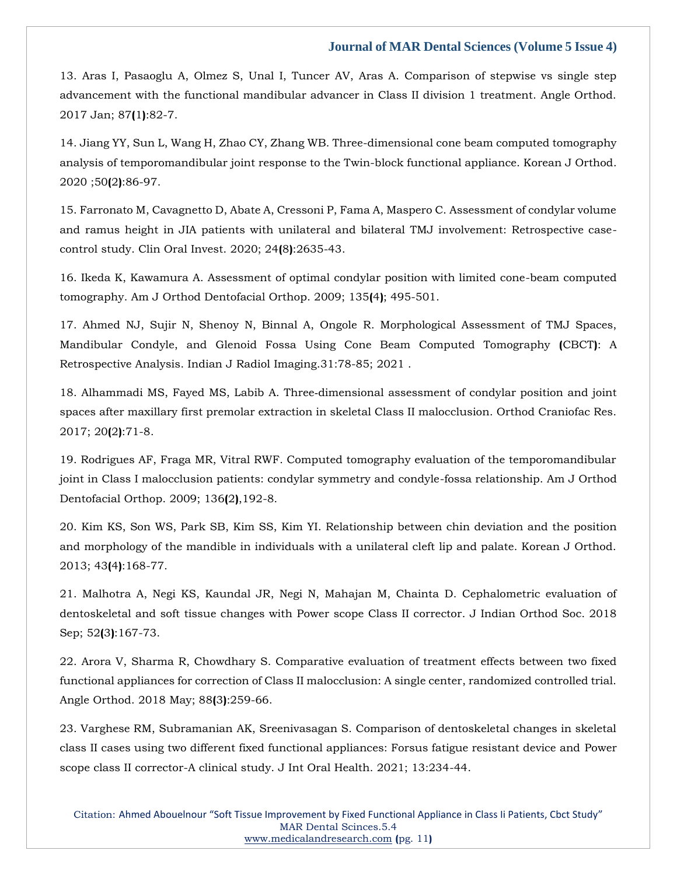13. Aras I, Pasaoglu [A, Olmez S, Unal I, Tuncer AV, Aras A. Comparison of stepwise vs single step](https://www.google.com/search?q=Comparison+of+stepwise+vs+single+step+advancement+with+the+functional+mandibular+advancer+in+Class+II+division+1+treatment&sxsrf=APq-WBv0tw_G67kEd1yLVtK1EpAYXj_Spw%3A1650877305132&ei=eWNmYuHQB9TBz7sPguiqgAs&ved=0ahUKEwih8dua7a73AhXU4HMBHQK0CrAQ4dUDCA4&oq=Comparison+of+stepwise+vs+single+step+advancement+with+the+functional+mandibular+advancer+in+Class+II+division+1+treatment&gs_lcp=Cgdnd3Mtd2l6EAwyBwgjEOoCECcyBwgjEOoCECcyBwgjEOoCECcyBwgjEOoCECcyBwgjEOoCECcyBwgjEOoCECcyBwgjEOoCECcyBwgjEOoCECcyBwgjEOoCECcyBwgjEOoCECdKBAhBGABKBAhGGABQxAZYxAZgigxoAXABeACAAQCIAQCSAQCYAQCgAQGgAQKwAQrAAQE&sclient=gws-wiz)  [advancement with the functional mandibular advancer in Class II division 1 treatment. Angle Orthod.](https://www.google.com/search?q=Comparison+of+stepwise+vs+single+step+advancement+with+the+functional+mandibular+advancer+in+Class+II+division+1+treatment&sxsrf=APq-WBv0tw_G67kEd1yLVtK1EpAYXj_Spw%3A1650877305132&ei=eWNmYuHQB9TBz7sPguiqgAs&ved=0ahUKEwih8dua7a73AhXU4HMBHQK0CrAQ4dUDCA4&oq=Comparison+of+stepwise+vs+single+step+advancement+with+the+functional+mandibular+advancer+in+Class+II+division+1+treatment&gs_lcp=Cgdnd3Mtd2l6EAwyBwgjEOoCECcyBwgjEOoCECcyBwgjEOoCECcyBwgjEOoCECcyBwgjEOoCECcyBwgjEOoCECcyBwgjEOoCECcyBwgjEOoCECcyBwgjEOoCECcyBwgjEOoCECdKBAhBGABKBAhGGABQxAZYxAZgigxoAXABeACAAQCIAQCSAQCYAQCgAQGgAQKwAQrAAQE&sclient=gws-wiz)  [2017 Jan; 87](https://www.google.com/search?q=Comparison+of+stepwise+vs+single+step+advancement+with+the+functional+mandibular+advancer+in+Class+II+division+1+treatment&sxsrf=APq-WBv0tw_G67kEd1yLVtK1EpAYXj_Spw%3A1650877305132&ei=eWNmYuHQB9TBz7sPguiqgAs&ved=0ahUKEwih8dua7a73AhXU4HMBHQK0CrAQ4dUDCA4&oq=Comparison+of+stepwise+vs+single+step+advancement+with+the+functional+mandibular+advancer+in+Class+II+division+1+treatment&gs_lcp=Cgdnd3Mtd2l6EAwyBwgjEOoCECcyBwgjEOoCECcyBwgjEOoCECcyBwgjEOoCECcyBwgjEOoCECcyBwgjEOoCECcyBwgjEOoCECcyBwgjEOoCECcyBwgjEOoCECcyBwgjEOoCECdKBAhBGABKBAhGGABQxAZYxAZgigxoAXABeACAAQCIAQCSAQCYAQCgAQGgAQKwAQrAAQE&sclient=gws-wiz)**(**1**)**:82-7.

[14. Jiang YY, Sun L, Wang H, Zhao CY, Zhang WB. Three-dimensional cone beam computed tomography](https://www.google.com/search?q=Three-dimensional+cone+beam+computed+tomography+analysis+of+temporomandibular+joint+response+to+the+Twin-block+functional+appliance.+&sxsrf=APq-WBtr2xDqDqb6ZthfYwy_oQoH2KDB9w%3A1650877327369&ei=j2NmYqOVFtLfz7sP-pmI2AU&ved=0ahUKEwjjmKml7a73AhXS73MBHfoMAlsQ4dUDCA4&oq=Three-dimensional+cone+beam+computed+tomography+analysis+of+temporomandibular+joint+response+to+the+Twin-block+functional+appliance.+&gs_lcp=Cgdnd3Mtd2l6EAwyBwgjEOoCECcyBwgjEOoCECcyBwgjEOoCECcyBwgjEOoCECcyBwgjEOoCECcyBwgjEOoCECcyBwgjEOoCECcyBwgjEOoCECcyBwgjEOoCECcyBwgjEOoCECdKBAhBGABKBAhGGABQ9gRY9gRg2AhoAXAAeACAAQCIAQCSAQCYAQCgAQGgAQKwAQrAAQE&sclient=gws-wiz)  [analysis of temporomandibular joint response to the Twin-block functional appliance. Korean J Orthod.](https://www.google.com/search?q=Three-dimensional+cone+beam+computed+tomography+analysis+of+temporomandibular+joint+response+to+the+Twin-block+functional+appliance.+&sxsrf=APq-WBtr2xDqDqb6ZthfYwy_oQoH2KDB9w%3A1650877327369&ei=j2NmYqOVFtLfz7sP-pmI2AU&ved=0ahUKEwjjmKml7a73AhXS73MBHfoMAlsQ4dUDCA4&oq=Three-dimensional+cone+beam+computed+tomography+analysis+of+temporomandibular+joint+response+to+the+Twin-block+functional+appliance.+&gs_lcp=Cgdnd3Mtd2l6EAwyBwgjEOoCECcyBwgjEOoCECcyBwgjEOoCECcyBwgjEOoCECcyBwgjEOoCECcyBwgjEOoCECcyBwgjEOoCECcyBwgjEOoCECcyBwgjEOoCECcyBwgjEOoCECdKBAhBGABKBAhGGABQ9gRY9gRg2AhoAXAAeACAAQCIAQCSAQCYAQCgAQGgAQKwAQrAAQE&sclient=gws-wiz)  [2020 ;50](https://www.google.com/search?q=Three-dimensional+cone+beam+computed+tomography+analysis+of+temporomandibular+joint+response+to+the+Twin-block+functional+appliance.+&sxsrf=APq-WBtr2xDqDqb6ZthfYwy_oQoH2KDB9w%3A1650877327369&ei=j2NmYqOVFtLfz7sP-pmI2AU&ved=0ahUKEwjjmKml7a73AhXS73MBHfoMAlsQ4dUDCA4&oq=Three-dimensional+cone+beam+computed+tomography+analysis+of+temporomandibular+joint+response+to+the+Twin-block+functional+appliance.+&gs_lcp=Cgdnd3Mtd2l6EAwyBwgjEOoCECcyBwgjEOoCECcyBwgjEOoCECcyBwgjEOoCECcyBwgjEOoCECcyBwgjEOoCECcyBwgjEOoCECcyBwgjEOoCECcyBwgjEOoCECcyBwgjEOoCECdKBAhBGABKBAhGGABQ9gRY9gRg2AhoAXAAeACAAQCIAQCSAQCYAQCgAQGgAQKwAQrAAQE&sclient=gws-wiz)**(**2**)**:86-97.

[15. Farronato M, Cavagnetto D, Abate A, Cressoni P, Fama A, Maspero C. Assessment of condylar volume](https://www.google.com/search?q=Assessment+of+condylar+volume+and+ramus+height+in+JIA+patients+with+unilateral+and+bilateral+TMJ+involvement%3A+Retrospective+case-control+study&sxsrf=APq-WBuSqh2QqLfYGN2TjkAIGYz2mk3Veg%3A1650877342670&ei=nmNmYqG4KOPB3LUP5OqWwAE&ved=0ahUKEwih_86s7a73AhXjILcAHWS1BRgQ4dUDCA4&oq=Assessment+of+condylar+volume+and+ramus+height+in+JIA+patients+with+unilateral+and+bilateral+TMJ+involvement%3A+Retrospective+case-control+study&gs_lcp=Cgdnd3Mtd2l6EAwyBwgjEOoCECcyBwgjEOoCECcyBwgjEOoCECcyBwgjEOoCECcyBwgjEOoCECcyBwgjEOoCECcyBwgjEOoCECcyBwgjEOoCECcyBwgjEOoCECcyBwgjEOoCECdKBAhBGABKBAhGGABQpgRYpgRg2QdoAXAAeACAAQCIAQCSAQCYAQCgAQGgAQKwAQrAAQE&sclient=gws-wiz)  [and ramus height in JIA patients with unilateral and bilateral TMJ involvement: Retrospective case](https://www.google.com/search?q=Assessment+of+condylar+volume+and+ramus+height+in+JIA+patients+with+unilateral+and+bilateral+TMJ+involvement%3A+Retrospective+case-control+study&sxsrf=APq-WBuSqh2QqLfYGN2TjkAIGYz2mk3Veg%3A1650877342670&ei=nmNmYqG4KOPB3LUP5OqWwAE&ved=0ahUKEwih_86s7a73AhXjILcAHWS1BRgQ4dUDCA4&oq=Assessment+of+condylar+volume+and+ramus+height+in+JIA+patients+with+unilateral+and+bilateral+TMJ+involvement%3A+Retrospective+case-control+study&gs_lcp=Cgdnd3Mtd2l6EAwyBwgjEOoCECcyBwgjEOoCECcyBwgjEOoCECcyBwgjEOoCECcyBwgjEOoCECcyBwgjEOoCECcyBwgjEOoCECcyBwgjEOoCECcyBwgjEOoCECcyBwgjEOoCECdKBAhBGABKBAhGGABQpgRYpgRg2QdoAXAAeACAAQCIAQCSAQCYAQCgAQGgAQKwAQrAAQE&sclient=gws-wiz)[control study. Clin Oral Invest. 2020; 24](https://www.google.com/search?q=Assessment+of+condylar+volume+and+ramus+height+in+JIA+patients+with+unilateral+and+bilateral+TMJ+involvement%3A+Retrospective+case-control+study&sxsrf=APq-WBuSqh2QqLfYGN2TjkAIGYz2mk3Veg%3A1650877342670&ei=nmNmYqG4KOPB3LUP5OqWwAE&ved=0ahUKEwih_86s7a73AhXjILcAHWS1BRgQ4dUDCA4&oq=Assessment+of+condylar+volume+and+ramus+height+in+JIA+patients+with+unilateral+and+bilateral+TMJ+involvement%3A+Retrospective+case-control+study&gs_lcp=Cgdnd3Mtd2l6EAwyBwgjEOoCECcyBwgjEOoCECcyBwgjEOoCECcyBwgjEOoCECcyBwgjEOoCECcyBwgjEOoCECcyBwgjEOoCECcyBwgjEOoCECcyBwgjEOoCECcyBwgjEOoCECdKBAhBGABKBAhGGABQpgRYpgRg2QdoAXAAeACAAQCIAQCSAQCYAQCgAQGgAQKwAQrAAQE&sclient=gws-wiz)**(**8**)**:2635-43.

[16. Ikeda K, Kawamura A. Assessment of optimal condylar position with limited cone-beam computed](https://www.google.com/search?q=Assessment+of+optimal+condylar+position+with+limited+cone-beam+computed+tomography.&sxsrf=APq-WBuT0kdZyboDRCq0ZSpJOu18yTjx1Q%3A1650877359015&ei=r2NmYqQ-88XPuw_x47D4DQ&ved=0ahUKEwjk0bS07a73AhXz4nMBHfExDN8Q4dUDCA4&oq=Assessment+of+optimal+condylar+position+with+limited+cone-beam+computed+tomography.&gs_lcp=Cgdnd3Mtd2l6EAwyBwgjEOoCECcyBwgjEOoCECcyBwgjEOoCECcyBwgjEOoCECcyBwgjEOoCECcyBwgjEOoCECcyBwgjEOoCECcyBwgjEOoCECcyBwgjEOoCECcyBwgjEOoCECdKBAhBGABKBAhGGABQ0QZY0QZgrQdoAXAAeACAAQCIAQCSAQCYAQCgAQGgAQKwAQrAAQE&sclient=gws-wiz)  [tomography. Am J Orthod Dentofacial Orthop. 2009; 135](https://www.google.com/search?q=Assessment+of+optimal+condylar+position+with+limited+cone-beam+computed+tomography.&sxsrf=APq-WBuT0kdZyboDRCq0ZSpJOu18yTjx1Q%3A1650877359015&ei=r2NmYqQ-88XPuw_x47D4DQ&ved=0ahUKEwjk0bS07a73AhXz4nMBHfExDN8Q4dUDCA4&oq=Assessment+of+optimal+condylar+position+with+limited+cone-beam+computed+tomography.&gs_lcp=Cgdnd3Mtd2l6EAwyBwgjEOoCECcyBwgjEOoCECcyBwgjEOoCECcyBwgjEOoCECcyBwgjEOoCECcyBwgjEOoCECcyBwgjEOoCECcyBwgjEOoCECcyBwgjEOoCECcyBwgjEOoCECdKBAhBGABKBAhGGABQ0QZY0QZgrQdoAXAAeACAAQCIAQCSAQCYAQCgAQGgAQKwAQrAAQE&sclient=gws-wiz)**(**4**)**; 495-501.

[17. Ahmed NJ, Sujir N, Shenoy N, Binnal A, Ongole](https://www.google.com/search?q=Morphological+Assessment+of+TMJ+Spaces%2C+Mandibular+Condyle%2C+and+Glenoid+Fossa+Using+Cone+Beam+Computed+Tomography+%28CBCT%29%3A+A+Retrospective+Analysis.&sxsrf=APq-WBtHK_LHFmqe8skxYOtnwuCWWAh8Pw%3A1650877373837&ei=vWNmYrnjMoPcz7sPrpK72AY&ved=0ahUKEwj5tb277a73AhUD7nMBHS7JDmsQ4dUDCA4&oq=Morphological+Assessment+of+TMJ+Spaces%2C+Mandibular+Condyle%2C+and+Glenoid+Fossa+Using+Cone+Beam+Computed+Tomography+%28CBCT%29%3A+A+Retrospective+Analysis.&gs_lcp=Cgdnd3Mtd2l6EAwyBwgjEOoCECcyBwgjEOoCECcyBwgjEOoCECcyBwgjEOoCECcyBwgjEOoCECcyBwgjEOoCECcyBwgjEOoCECcyBwgjEOoCECcyBwgjEOoCECcyBwgjEOoCECdKBAhBGABKBAhGGABQ9wNY9wNg5AdoAXAAeACAAQCIAQCSAQCYAQCgAQGgAQKwAQrAAQE&sclient=gws-wiz) R. Morphological Assessment of TMJ Spaces, [Mandibular Condyle, and Glenoid Fossa Using Cone Beam Computed Tomography](https://www.google.com/search?q=Morphological+Assessment+of+TMJ+Spaces%2C+Mandibular+Condyle%2C+and+Glenoid+Fossa+Using+Cone+Beam+Computed+Tomography+%28CBCT%29%3A+A+Retrospective+Analysis.&sxsrf=APq-WBtHK_LHFmqe8skxYOtnwuCWWAh8Pw%3A1650877373837&ei=vWNmYrnjMoPcz7sPrpK72AY&ved=0ahUKEwj5tb277a73AhUD7nMBHS7JDmsQ4dUDCA4&oq=Morphological+Assessment+of+TMJ+Spaces%2C+Mandibular+Condyle%2C+and+Glenoid+Fossa+Using+Cone+Beam+Computed+Tomography+%28CBCT%29%3A+A+Retrospective+Analysis.&gs_lcp=Cgdnd3Mtd2l6EAwyBwgjEOoCECcyBwgjEOoCECcyBwgjEOoCECcyBwgjEOoCECcyBwgjEOoCECcyBwgjEOoCECcyBwgjEOoCECcyBwgjEOoCECcyBwgjEOoCECcyBwgjEOoCECdKBAhBGABKBAhGGABQ9wNY9wNg5AdoAXAAeACAAQCIAQCSAQCYAQCgAQGgAQKwAQrAAQE&sclient=gws-wiz) **(**CBCT**)**: A [Retrospective Analysis. Indian J Radiol Imaging.31:78-85; 2021](https://www.google.com/search?q=Morphological+Assessment+of+TMJ+Spaces%2C+Mandibular+Condyle%2C+and+Glenoid+Fossa+Using+Cone+Beam+Computed+Tomography+%28CBCT%29%3A+A+Retrospective+Analysis.&sxsrf=APq-WBtHK_LHFmqe8skxYOtnwuCWWAh8Pw%3A1650877373837&ei=vWNmYrnjMoPcz7sPrpK72AY&ved=0ahUKEwj5tb277a73AhUD7nMBHS7JDmsQ4dUDCA4&oq=Morphological+Assessment+of+TMJ+Spaces%2C+Mandibular+Condyle%2C+and+Glenoid+Fossa+Using+Cone+Beam+Computed+Tomography+%28CBCT%29%3A+A+Retrospective+Analysis.&gs_lcp=Cgdnd3Mtd2l6EAwyBwgjEOoCECcyBwgjEOoCECcyBwgjEOoCECcyBwgjEOoCECcyBwgjEOoCECcyBwgjEOoCECcyBwgjEOoCECcyBwgjEOoCECcyBwgjEOoCECcyBwgjEOoCECdKBAhBGABKBAhGGABQ9wNY9wNg5AdoAXAAeACAAQCIAQCSAQCYAQCgAQGgAQKwAQrAAQE&sclient=gws-wiz) .

18. Alhammadi MS, Fayed MS, Labib A. Three‐[dimensional assessment of condylar position and joint](https://www.google.com/search?q=Three%E2%80%90dimensional+assessment+of+condylar+position+and+joint+spaces+after+maxillary+first+premolar+extraction+in+skeletal+Class+II+malocclusion&sxsrf=APq-WBsKnRZBXJ4E5Z7xlHoEuehAJ8W13Q%3A1650877398761&ei=1mNmYsaMLuLA3LUPnoWIqAg&ved=0ahUKEwjGz67H7a73AhViILcAHZ4CAoUQ4dUDCA4&oq=Three%E2%80%90dimensional+assessment+of+condylar+position+and+joint+spaces+after+maxillary+first+premolar+extraction+in+skeletal+Class+II+malocclusion&gs_lcp=Cgdnd3Mtd2l6EAwyBwgjEOoCECcyBwgjEOoCECcyBwgjEOoCECcyBwgjEOoCECcyBwgjEOoCECcyBwgjEOoCECcyBwgjEOoCECcyBwgjEOoCECcyBwgjEOoCECcyBwgjEOoCECdKBAhBGABKBAhGGABQsANYsANgmgdoAXAAeACAAQCIAQCSAQCYAQCgAQGgAQKwAQrAAQE&sclient=gws-wiz)  [spaces after maxillary first premolar extraction in skeletal Class II malocclusion. Orthod Craniofac Res.](https://www.google.com/search?q=Three%E2%80%90dimensional+assessment+of+condylar+position+and+joint+spaces+after+maxillary+first+premolar+extraction+in+skeletal+Class+II+malocclusion&sxsrf=APq-WBsKnRZBXJ4E5Z7xlHoEuehAJ8W13Q%3A1650877398761&ei=1mNmYsaMLuLA3LUPnoWIqAg&ved=0ahUKEwjGz67H7a73AhViILcAHZ4CAoUQ4dUDCA4&oq=Three%E2%80%90dimensional+assessment+of+condylar+position+and+joint+spaces+after+maxillary+first+premolar+extraction+in+skeletal+Class+II+malocclusion&gs_lcp=Cgdnd3Mtd2l6EAwyBwgjEOoCECcyBwgjEOoCECcyBwgjEOoCECcyBwgjEOoCECcyBwgjEOoCECcyBwgjEOoCECcyBwgjEOoCECcyBwgjEOoCECcyBwgjEOoCECcyBwgjEOoCECdKBAhBGABKBAhGGABQsANYsANgmgdoAXAAeACAAQCIAQCSAQCYAQCgAQGgAQKwAQrAAQE&sclient=gws-wiz)  [2017; 20](https://www.google.com/search?q=Three%E2%80%90dimensional+assessment+of+condylar+position+and+joint+spaces+after+maxillary+first+premolar+extraction+in+skeletal+Class+II+malocclusion&sxsrf=APq-WBsKnRZBXJ4E5Z7xlHoEuehAJ8W13Q%3A1650877398761&ei=1mNmYsaMLuLA3LUPnoWIqAg&ved=0ahUKEwjGz67H7a73AhViILcAHZ4CAoUQ4dUDCA4&oq=Three%E2%80%90dimensional+assessment+of+condylar+position+and+joint+spaces+after+maxillary+first+premolar+extraction+in+skeletal+Class+II+malocclusion&gs_lcp=Cgdnd3Mtd2l6EAwyBwgjEOoCECcyBwgjEOoCECcyBwgjEOoCECcyBwgjEOoCECcyBwgjEOoCECcyBwgjEOoCECcyBwgjEOoCECcyBwgjEOoCECcyBwgjEOoCECcyBwgjEOoCECdKBAhBGABKBAhGGABQsANYsANgmgdoAXAAeACAAQCIAQCSAQCYAQCgAQGgAQKwAQrAAQE&sclient=gws-wiz)**(**2**)**:71-8.

[19. Rodrigues AF, Fraga MR, Vitral RWF. Computed tomography evaluation of the temporomandibular](https://www.google.com/search?q=Three%E2%80%90dimensional+assessment+of+condylar+position+and+joint+spaces+after+maxillary+first+premolar+extraction+in+skeletal+Class+II+malocclusion&sxsrf=APq-WBsKnRZBXJ4E5Z7xlHoEuehAJ8W13Q%3A1650877398761&ei=1mNmYsaMLuLA3LUPnoWIqAg&ved=0ahUKEwjGz67H7a73AhViILcAHZ4CAoUQ4dUDCA4&oq=Three%E2%80%90dimensional+assessment+of+condylar+position+and+joint+spaces+after+maxillary+first+premolar+extraction+in+skeletal+Class+II+malocclusion&gs_lcp=Cgdnd3Mtd2l6EAwyBwgjEOoCECcyBwgjEOoCECcyBwgjEOoCECcyBwgjEOoCECcyBwgjEOoCECcyBwgjEOoCECcyBwgjEOoCECcyBwgjEOoCECcyBwgjEOoCECcyBwgjEOoCECdKBAhBGABKBAhGGABQsANYsANgmgdoAXAAeACAAQCIAQCSAQCYAQCgAQGgAQKwAQrAAQE&sclient=gws-wiz)  [joint in Class I malocclusion patients: condylar symmetry and condyle-fossa relationship. Am J Orthod](https://www.google.com/search?q=Three%E2%80%90dimensional+assessment+of+condylar+position+and+joint+spaces+after+maxillary+first+premolar+extraction+in+skeletal+Class+II+malocclusion&sxsrf=APq-WBsKnRZBXJ4E5Z7xlHoEuehAJ8W13Q%3A1650877398761&ei=1mNmYsaMLuLA3LUPnoWIqAg&ved=0ahUKEwjGz67H7a73AhViILcAHZ4CAoUQ4dUDCA4&oq=Three%E2%80%90dimensional+assessment+of+condylar+position+and+joint+spaces+after+maxillary+first+premolar+extraction+in+skeletal+Class+II+malocclusion&gs_lcp=Cgdnd3Mtd2l6EAwyBwgjEOoCECcyBwgjEOoCECcyBwgjEOoCECcyBwgjEOoCECcyBwgjEOoCECcyBwgjEOoCECcyBwgjEOoCECcyBwgjEOoCECcyBwgjEOoCECcyBwgjEOoCECdKBAhBGABKBAhGGABQsANYsANgmgdoAXAAeACAAQCIAQCSAQCYAQCgAQGgAQKwAQrAAQE&sclient=gws-wiz)  [Dentofacial Orthop. 2009; 136](https://www.google.com/search?q=Three%E2%80%90dimensional+assessment+of+condylar+position+and+joint+spaces+after+maxillary+first+premolar+extraction+in+skeletal+Class+II+malocclusion&sxsrf=APq-WBsKnRZBXJ4E5Z7xlHoEuehAJ8W13Q%3A1650877398761&ei=1mNmYsaMLuLA3LUPnoWIqAg&ved=0ahUKEwjGz67H7a73AhViILcAHZ4CAoUQ4dUDCA4&oq=Three%E2%80%90dimensional+assessment+of+condylar+position+and+joint+spaces+after+maxillary+first+premolar+extraction+in+skeletal+Class+II+malocclusion&gs_lcp=Cgdnd3Mtd2l6EAwyBwgjEOoCECcyBwgjEOoCECcyBwgjEOoCECcyBwgjEOoCECcyBwgjEOoCECcyBwgjEOoCECcyBwgjEOoCECcyBwgjEOoCECcyBwgjEOoCECcyBwgjEOoCECdKBAhBGABKBAhGGABQsANYsANgmgdoAXAAeACAAQCIAQCSAQCYAQCgAQGgAQKwAQrAAQE&sclient=gws-wiz)**(**2**)**,192-8.

[20. Kim KS, Son WS, Park SB, Kim SS, Kim YI. Relationship between chin deviation and the position](https://www.google.com/search?q=Relationship+between+chin+deviation+and+the+position+and+morphology+of+the+mandible+in+individuals+with+a+unilateral+cleft+lip+and+palate&sxsrf=APq-WBsISEM6jYfBzPlmPoiAEj8PVRsSkw%3A1650877426567&ei=8mNmYpOTItXA3LUPs_-bSA&ved=0ahUKEwiT1M_U7a73AhVVILcAHbP_BgkQ4dUDCA4&oq=Relationship+between+chin+deviation+and+the+position+and+morphology+of+the+mandible+in+individuals+with+a+unilateral+cleft+lip+and+palate&gs_lcp=Cgdnd3Mtd2l6EAwyBwgjEOoCECcyBwgjEOoCECcyBwgjEOoCECcyBwgjEOoCECcyBwgjEOoCECcyBwgjEOoCECcyBwgjEOoCECcyBwgjEOoCECcyBwgjEOoCECcyBwgjEOoCECdKBAhBGABKBAhGGABQnghYnghg7AtoAXAAeACAAQCIAQCSAQCYAQCgAQGgAQKwAQrAAQE&sclient=gws-wiz)  [and morphology of the mandible in individuals with a unilateral cleft lip and palate. Korean J Orthod.](https://www.google.com/search?q=Relationship+between+chin+deviation+and+the+position+and+morphology+of+the+mandible+in+individuals+with+a+unilateral+cleft+lip+and+palate&sxsrf=APq-WBsISEM6jYfBzPlmPoiAEj8PVRsSkw%3A1650877426567&ei=8mNmYpOTItXA3LUPs_-bSA&ved=0ahUKEwiT1M_U7a73AhVVILcAHbP_BgkQ4dUDCA4&oq=Relationship+between+chin+deviation+and+the+position+and+morphology+of+the+mandible+in+individuals+with+a+unilateral+cleft+lip+and+palate&gs_lcp=Cgdnd3Mtd2l6EAwyBwgjEOoCECcyBwgjEOoCECcyBwgjEOoCECcyBwgjEOoCECcyBwgjEOoCECcyBwgjEOoCECcyBwgjEOoCECcyBwgjEOoCECcyBwgjEOoCECcyBwgjEOoCECdKBAhBGABKBAhGGABQnghYnghg7AtoAXAAeACAAQCIAQCSAQCYAQCgAQGgAQKwAQrAAQE&sclient=gws-wiz)  [2013; 43](https://www.google.com/search?q=Relationship+between+chin+deviation+and+the+position+and+morphology+of+the+mandible+in+individuals+with+a+unilateral+cleft+lip+and+palate&sxsrf=APq-WBsISEM6jYfBzPlmPoiAEj8PVRsSkw%3A1650877426567&ei=8mNmYpOTItXA3LUPs_-bSA&ved=0ahUKEwiT1M_U7a73AhVVILcAHbP_BgkQ4dUDCA4&oq=Relationship+between+chin+deviation+and+the+position+and+morphology+of+the+mandible+in+individuals+with+a+unilateral+cleft+lip+and+palate&gs_lcp=Cgdnd3Mtd2l6EAwyBwgjEOoCECcyBwgjEOoCECcyBwgjEOoCECcyBwgjEOoCECcyBwgjEOoCECcyBwgjEOoCECcyBwgjEOoCECcyBwgjEOoCECcyBwgjEOoCECcyBwgjEOoCECdKBAhBGABKBAhGGABQnghYnghg7AtoAXAAeACAAQCIAQCSAQCYAQCgAQGgAQKwAQrAAQE&sclient=gws-wiz)**(**4**)**:168-77.

[21. Malhotra A, Negi KS, Kaundal JR, Negi N, Mahajan M, Chainta D. Cephalometric evaluation of](https://www.google.com/search?q=Cephalometric+evaluation+of+dentoskeletal+and+soft+tissue+changes+with+Powerscope+Class+II+corrector.&sxsrf=APq-WBsOlZMadOYfP04zYakvEUWOfosxAQ%3A1650877494230&ei=NmRmYofLDfTC3LUPpq2i6As&ved=0ahUKEwiHvvH07a73AhV0IbcAHaaWCL0Q4dUDCA4&oq=Cephalometric+evaluation+of+dentoskeletal+and+soft+tissue+changes+with+Powerscope+Class+II+corrector.&gs_lcp=Cgdnd3Mtd2l6EAwyBwgjEOoCECcyBwgjEOoCECcyBwgjEOoCECcyBwgjEOoCECcyBwgjEOoCECcyBwgjEOoCECcyBwgjEOoCECcyBwgjEOoCECcyBwgjEOoCECcyBwgjEOoCECdKBAhBGABKBAhGGABQ-ANY-ANg-wdoAXAAeACAAQCIAQCSAQCYAQCgAQGgAQKwAQrAAQE&sclient=gws-wiz)  [dentoskeletal and soft tissue changes with Power scope](https://www.google.com/search?q=Cephalometric+evaluation+of+dentoskeletal+and+soft+tissue+changes+with+Powerscope+Class+II+corrector.&sxsrf=APq-WBsOlZMadOYfP04zYakvEUWOfosxAQ%3A1650877494230&ei=NmRmYofLDfTC3LUPpq2i6As&ved=0ahUKEwiHvvH07a73AhV0IbcAHaaWCL0Q4dUDCA4&oq=Cephalometric+evaluation+of+dentoskeletal+and+soft+tissue+changes+with+Powerscope+Class+II+corrector.&gs_lcp=Cgdnd3Mtd2l6EAwyBwgjEOoCECcyBwgjEOoCECcyBwgjEOoCECcyBwgjEOoCECcyBwgjEOoCECcyBwgjEOoCECcyBwgjEOoCECcyBwgjEOoCECcyBwgjEOoCECcyBwgjEOoCECdKBAhBGABKBAhGGABQ-ANY-ANg-wdoAXAAeACAAQCIAQCSAQCYAQCgAQGgAQKwAQrAAQE&sclient=gws-wiz) Class II corrector. J Indian Orthod Soc. 2018 Sep; 52**(**3**)**[:167-73.](https://www.google.com/search?q=Cephalometric+evaluation+of+dentoskeletal+and+soft+tissue+changes+with+Powerscope+Class+II+corrector.&sxsrf=APq-WBsOlZMadOYfP04zYakvEUWOfosxAQ%3A1650877494230&ei=NmRmYofLDfTC3LUPpq2i6As&ved=0ahUKEwiHvvH07a73AhV0IbcAHaaWCL0Q4dUDCA4&oq=Cephalometric+evaluation+of+dentoskeletal+and+soft+tissue+changes+with+Powerscope+Class+II+corrector.&gs_lcp=Cgdnd3Mtd2l6EAwyBwgjEOoCECcyBwgjEOoCECcyBwgjEOoCECcyBwgjEOoCECcyBwgjEOoCECcyBwgjEOoCECcyBwgjEOoCECcyBwgjEOoCECcyBwgjEOoCECcyBwgjEOoCECdKBAhBGABKBAhGGABQ-ANY-ANg-wdoAXAAeACAAQCIAQCSAQCYAQCgAQGgAQKwAQrAAQE&sclient=gws-wiz)

[22. Arora V, Sharma R, Chowdhary S. Comparative evaluation of treatment effects between two fixed](https://www.google.com/search?q=Comparative+evaluation+of+treatment+effects+between+two+fixed+functional+appliances+for+correction+of+Class+II+malocclusion%3A+A+single+center%2C+randomized+controlled+trial&sxsrf=APq-WBvov8e8RBkRN5juK3iuWIWUg2AgXw%3A1650877527613&ei=V2RmYrX-JKDYz7sPlJmfwAk&ved=0ahUKEwj1heeE7q73AhUg7HMBHZTMB5gQ4dUDCA4&oq=Comparative+evaluation+of+treatment+effects+between+two+fixed+functional+appliances+for+correction+of+Class+II+malocclusion%3A+A+single+center%2C+randomized+controlled+trial&gs_lcp=Cgdnd3Mtd2l6EAwyBwgjEOoCECcyBwgjEOoCECcyBwgjEOoCECcyBwgjEOoCECcyBwgjEOoCECcyBwgjEOoCECcyBwgjEOoCECcyBwgjEOoCECcyBwgjEOoCECcyBwgjEOoCECdKBAhBGABKBAhGGABQjwVYjwVgoQtoAXAAeACAAQCIAQCSAQCYAQCgAQGgAQKwAQrAAQE&sclient=gws-wiz)  [functional appliances for correction of Class II malocclusion: A single center, randomized controlled trial.](https://www.google.com/search?q=Comparative+evaluation+of+treatment+effects+between+two+fixed+functional+appliances+for+correction+of+Class+II+malocclusion%3A+A+single+center%2C+randomized+controlled+trial&sxsrf=APq-WBvov8e8RBkRN5juK3iuWIWUg2AgXw%3A1650877527613&ei=V2RmYrX-JKDYz7sPlJmfwAk&ved=0ahUKEwj1heeE7q73AhUg7HMBHZTMB5gQ4dUDCA4&oq=Comparative+evaluation+of+treatment+effects+between+two+fixed+functional+appliances+for+correction+of+Class+II+malocclusion%3A+A+single+center%2C+randomized+controlled+trial&gs_lcp=Cgdnd3Mtd2l6EAwyBwgjEOoCECcyBwgjEOoCECcyBwgjEOoCECcyBwgjEOoCECcyBwgjEOoCECcyBwgjEOoCECcyBwgjEOoCECcyBwgjEOoCECcyBwgjEOoCECcyBwgjEOoCECdKBAhBGABKBAhGGABQjwVYjwVgoQtoAXAAeACAAQCIAQCSAQCYAQCgAQGgAQKwAQrAAQE&sclient=gws-wiz)  [Angle Orthod. 2018 May; 88](https://www.google.com/search?q=Comparative+evaluation+of+treatment+effects+between+two+fixed+functional+appliances+for+correction+of+Class+II+malocclusion%3A+A+single+center%2C+randomized+controlled+trial&sxsrf=APq-WBvov8e8RBkRN5juK3iuWIWUg2AgXw%3A1650877527613&ei=V2RmYrX-JKDYz7sPlJmfwAk&ved=0ahUKEwj1heeE7q73AhUg7HMBHZTMB5gQ4dUDCA4&oq=Comparative+evaluation+of+treatment+effects+between+two+fixed+functional+appliances+for+correction+of+Class+II+malocclusion%3A+A+single+center%2C+randomized+controlled+trial&gs_lcp=Cgdnd3Mtd2l6EAwyBwgjEOoCECcyBwgjEOoCECcyBwgjEOoCECcyBwgjEOoCECcyBwgjEOoCECcyBwgjEOoCECcyBwgjEOoCECcyBwgjEOoCECcyBwgjEOoCECcyBwgjEOoCECdKBAhBGABKBAhGGABQjwVYjwVgoQtoAXAAeACAAQCIAQCSAQCYAQCgAQGgAQKwAQrAAQE&sclient=gws-wiz)**(**3**)**:259-66.

[23. Varghese RM, Subramanian AK, Sreenivasagan S. Comparison of dentoskeletal changes in skeletal](https://www.google.com/search?q=Comparison+of+dentoskeletal+changes+in+skeletal+class+II+cases+using+two+different+fixed+functional+appliances%3A+Forsus+fatigue+resistant+device+and+Powerscope+class+II+corrector-A+clinical+study&sxsrf=APq-WBvVm3IUAyuOUAknaEpP60LVgGtItg%3A1650877544231&ei=aGRmYurFDbvaz7sP3vOb-A4&ved=0ahUKEwjqmd2M7q73AhU77XMBHd75Bu8Q4dUDCA4&oq=Comparison+of+dentoskeletal+changes+in+skeletal+class+II+cases+using+two+different+fixed+functional+appliances%3A+Forsus+fatigue+resistant+device+and+Powerscope+class+II+corrector-A+clinical+study&gs_lcp=Cgdnd3Mtd2l6EAwyBwgjEOoCECcyBwgjEOoCECcyBwgjEOoCECcyBwgjEOoCECcyBwgjEOoCECcyBwgjEOoCECcyBwgjEOoCECcyBwgjEOoCECcyBwgjEOoCECcyBwgjEOoCECdKBAhBGABKBAhGGABQpQRYpQRg4QtoAXAAeACAAQCIAQCSAQCYAQCgAQGgAQKwAQrAAQE&sclient=gws-wiz)  [class II cases using two different fixed functional appliances: Forsus fatigue resistant device and Power](https://www.google.com/search?q=Comparison+of+dentoskeletal+changes+in+skeletal+class+II+cases+using+two+different+fixed+functional+appliances%3A+Forsus+fatigue+resistant+device+and+Powerscope+class+II+corrector-A+clinical+study&sxsrf=APq-WBvVm3IUAyuOUAknaEpP60LVgGtItg%3A1650877544231&ei=aGRmYurFDbvaz7sP3vOb-A4&ved=0ahUKEwjqmd2M7q73AhU77XMBHd75Bu8Q4dUDCA4&oq=Comparison+of+dentoskeletal+changes+in+skeletal+class+II+cases+using+two+different+fixed+functional+appliances%3A+Forsus+fatigue+resistant+device+and+Powerscope+class+II+corrector-A+clinical+study&gs_lcp=Cgdnd3Mtd2l6EAwyBwgjEOoCECcyBwgjEOoCECcyBwgjEOoCECcyBwgjEOoCECcyBwgjEOoCECcyBwgjEOoCECcyBwgjEOoCECcyBwgjEOoCECcyBwgjEOoCECcyBwgjEOoCECdKBAhBGABKBAhGGABQpQRYpQRg4QtoAXAAeACAAQCIAQCSAQCYAQCgAQGgAQKwAQrAAQE&sclient=gws-wiz)  scope [class II corrector-A clinical study. J Int Oral Health. 2021; 13:234-44.](https://www.google.com/search?q=Comparison+of+dentoskeletal+changes+in+skeletal+class+II+cases+using+two+different+fixed+functional+appliances%3A+Forsus+fatigue+resistant+device+and+Powerscope+class+II+corrector-A+clinical+study&sxsrf=APq-WBvVm3IUAyuOUAknaEpP60LVgGtItg%3A1650877544231&ei=aGRmYurFDbvaz7sP3vOb-A4&ved=0ahUKEwjqmd2M7q73AhU77XMBHd75Bu8Q4dUDCA4&oq=Comparison+of+dentoskeletal+changes+in+skeletal+class+II+cases+using+two+different+fixed+functional+appliances%3A+Forsus+fatigue+resistant+device+and+Powerscope+class+II+corrector-A+clinical+study&gs_lcp=Cgdnd3Mtd2l6EAwyBwgjEOoCECcyBwgjEOoCECcyBwgjEOoCECcyBwgjEOoCECcyBwgjEOoCECcyBwgjEOoCECcyBwgjEOoCECcyBwgjEOoCECcyBwgjEOoCECcyBwgjEOoCECdKBAhBGABKBAhGGABQpQRYpQRg4QtoAXAAeACAAQCIAQCSAQCYAQCgAQGgAQKwAQrAAQE&sclient=gws-wiz)